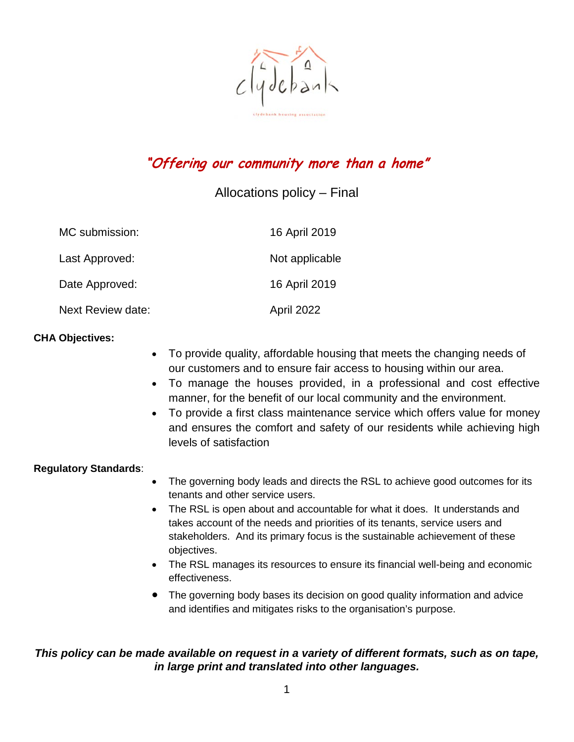$clijdebanh$ 

# "Offering our community more than a home"

### Allocations policy – Final

| MC submission:    | 16 April 2019  |
|-------------------|----------------|
| Last Approved:    | Not applicable |
| Date Approved:    | 16 April 2019  |
| Next Review date: | April 2022     |

### **CHA Objectives:**

- To provide quality, affordable housing that meets the changing needs of our customers and to ensure fair access to housing within our area.
- To manage the houses provided, in a professional and cost effective manner, for the benefit of our local community and the environment.
- To provide a first class maintenance service which offers value for money and ensures the comfort and safety of our residents while achieving high levels of satisfaction

#### **Regulatory Standards**:

- The governing body leads and directs the RSL to achieve good outcomes for its tenants and other service users.
- The RSL is open about and accountable for what it does. It understands and takes account of the needs and priorities of its tenants, service users and stakeholders. And its primary focus is the sustainable achievement of these objectives.
- The RSL manages its resources to ensure its financial well-being and economic effectiveness.
- The governing body bases its decision on good quality information and advice and identifies and mitigates risks to the organisation's purpose.

### *This policy can be made available on request in a variety of different formats, such as on tape, in large print and translated into other languages.*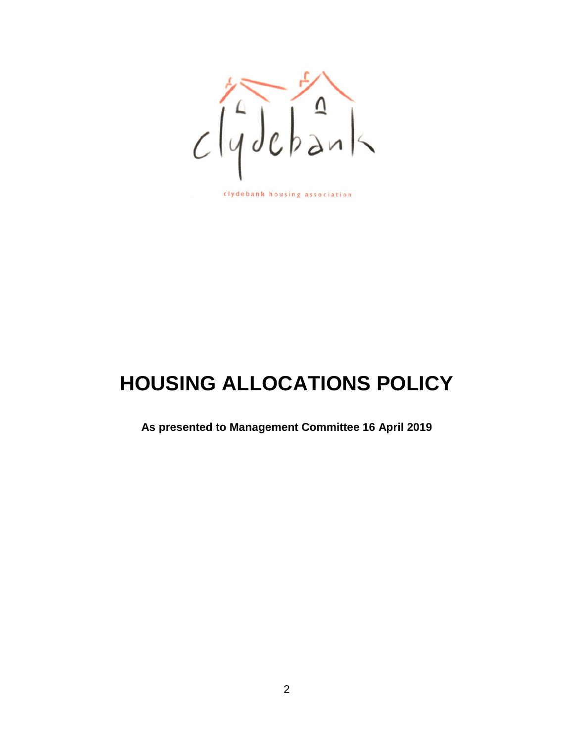

clydebank housing association

# **HOUSING ALLOCATIONS POLICY**

**As presented to Management Committee 16 April 2019**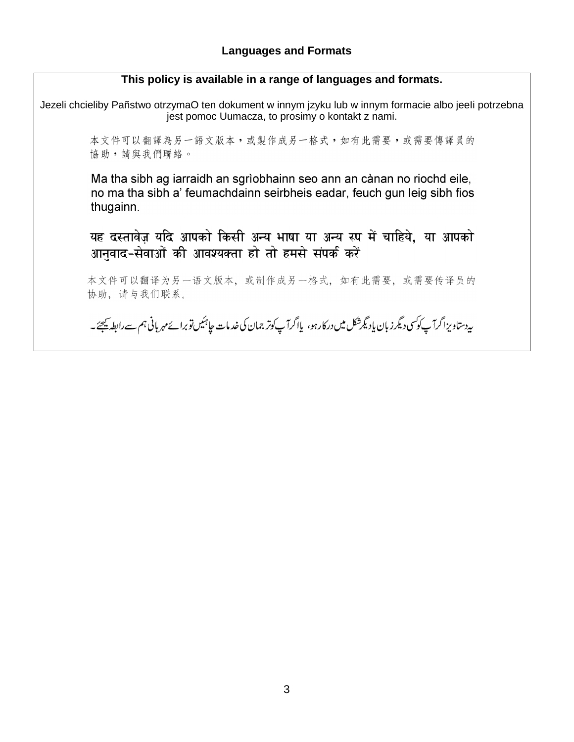### **This policy is available in a range of languages and formats.**

Jezeli chcieliby Pañstwo otrzymaO ten dokument w innym jzyku lub w innym formacie albo jeeli potrzebna jest pomoc Uumacza, to prosimy o kontakt z nami.

> 本文件可以翻譯為另一語文版本,或製作成另一格式,如有此需要,或需要傳譯員的 協助,請與我們聯絡。

> Ma tha sibh ag iarraidh an sgrìobhainn seo ann an cànan no riochd eile, no ma tha sibh a' feumachdainn seirbheis eadar, feuch gun leig sibh fios thugainn.

> यह दस्तावेज़ यदि आपको किसी अन्य भाषा या अन्य रूप में चाहिये, या आपको आनुवाद-सेवाओं की आवश्यक्ता हो तो हमसे संपर्क करें

> 本文件可以翻译为另一语文版本,或制作成另一格式,如有此需要,或需要传译员的 协助,请与我们联系。

> ىيەدستاو يزاگرآپ كوكسى دىگرز بان يادىگەشكل مىں دركارہو، يااگرآپ كوتر جمان كى خدمات جاہئيں توبرائے مہر بانى ہم <sub>سے</sub>رابطہ يہجئے ۔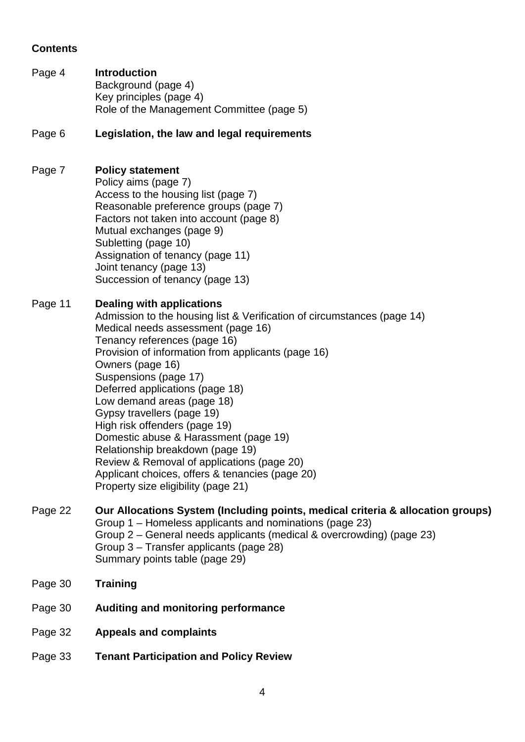### **Contents**

Page 4 **Introduction** Background (page 4) Key principles (page 4) Role of the Management Committee (page 5)

### Page 6 **Legislation, the law and legal requirements**

### Page 7 **Policy statement**

Policy aims (page 7) Access to the housing list (page 7) Reasonable preference groups (page 7) Factors not taken into account (page 8) Mutual exchanges (page 9) Subletting (page 10) Assignation of tenancy (page 11) Joint tenancy (page 13) Succession of tenancy (page 13)

### Page 11 **Dealing with applications**

Admission to the housing list & Verification of circumstances (page 14) Medical needs assessment (page 16) Tenancy references (page 16) Provision of information from applicants (page 16) Owners (page 16) Suspensions (page 17) Deferred applications (page 18) Low demand areas (page 18) Gypsy travellers (page 19) High risk offenders (page 19) Domestic abuse & Harassment (page 19) Relationship breakdown (page 19) Review & Removal of applications (page 20) Applicant choices, offers & tenancies (page 20) Property size eligibility (page 21)

#### Page 22 **Our Allocations System (Including points, medical criteria & allocation groups)** Group 1 – Homeless applicants and nominations (page 23) Group 2 – General needs applicants (medical & overcrowding) (page 23) Group 3 – Transfer applicants (page 28)

Summary points table (page 29)

- Page 30 **Training**
- Page 30 **Auditing and monitoring performance**
- Page 32 **Appeals and complaints**
- Page 33 **Tenant Participation and Policy Review**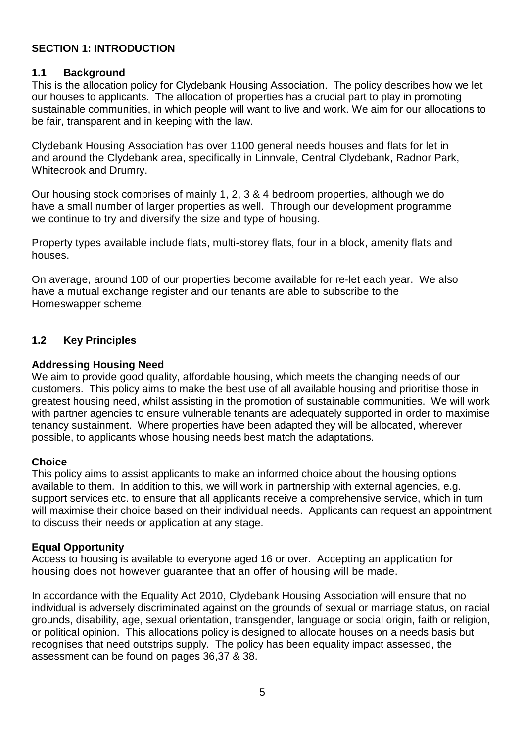### **SECTION 1: INTRODUCTION**

### **1.1 Background**

This is the allocation policy for Clydebank Housing Association. The policy describes how we let our houses to applicants. The allocation of properties has a crucial part to play in promoting sustainable communities, in which people will want to live and work. We aim for our allocations to be fair, transparent and in keeping with the law.

Clydebank Housing Association has over 1100 general needs houses and flats for let in and around the Clydebank area, specifically in Linnvale, Central Clydebank, Radnor Park, Whitecrook and Drumry.

Our housing stock comprises of mainly 1, 2, 3 & 4 bedroom properties, although we do have a small number of larger properties as well. Through our development programme we continue to try and diversify the size and type of housing.

Property types available include flats, multi-storey flats, four in a block, amenity flats and houses.

On average, around 100 of our properties become available for re-let each year. We also have a mutual exchange register and our tenants are able to subscribe to the Homeswapper scheme.

### **1.2 Key Principles**

### **Addressing Housing Need**

We aim to provide good quality, affordable housing, which meets the changing needs of our customers. This policy aims to make the best use of all available housing and prioritise those in greatest housing need, whilst assisting in the promotion of sustainable communities. We will work with partner agencies to ensure vulnerable tenants are adequately supported in order to maximise tenancy sustainment. Where properties have been adapted they will be allocated, wherever possible, to applicants whose housing needs best match the adaptations.

### **Choice**

This policy aims to assist applicants to make an informed choice about the housing options available to them. In addition to this, we will work in partnership with external agencies, e.g. support services etc. to ensure that all applicants receive a comprehensive service, which in turn will maximise their choice based on their individual needs. Applicants can request an appointment to discuss their needs or application at any stage.

### **Equal Opportunity**

Access to housing is available to everyone aged 16 or over. Accepting an application for housing does not however guarantee that an offer of housing will be made.

In accordance with the Equality Act 2010, Clydebank Housing Association will ensure that no individual is adversely discriminated against on the grounds of sexual or marriage status, on racial grounds, disability, age, sexual orientation, transgender, language or social origin, faith or religion, or political opinion. This allocations policy is designed to allocate houses on a needs basis but recognises that need outstrips supply. The policy has been equality impact assessed, the assessment can be found on pages 36,37 & 38.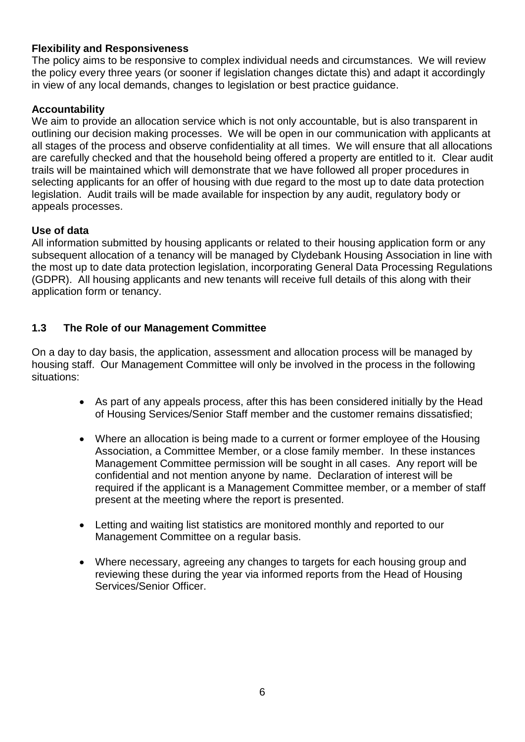### **Flexibility and Responsiveness**

The policy aims to be responsive to complex individual needs and circumstances. We will review the policy every three years (or sooner if legislation changes dictate this) and adapt it accordingly in view of any local demands, changes to legislation or best practice guidance.

### **Accountability**

We aim to provide an allocation service which is not only accountable, but is also transparent in outlining our decision making processes. We will be open in our communication with applicants at all stages of the process and observe confidentiality at all times. We will ensure that all allocations are carefully checked and that the household being offered a property are entitled to it. Clear audit trails will be maintained which will demonstrate that we have followed all proper procedures in selecting applicants for an offer of housing with due regard to the most up to date data protection legislation. Audit trails will be made available for inspection by any audit, regulatory body or appeals processes.

### **Use of data**

All information submitted by housing applicants or related to their housing application form or any subsequent allocation of a tenancy will be managed by Clydebank Housing Association in line with the most up to date data protection legislation, incorporating General Data Processing Regulations (GDPR). All housing applicants and new tenants will receive full details of this along with their application form or tenancy.

### **1.3 The Role of our Management Committee**

On a day to day basis, the application, assessment and allocation process will be managed by housing staff. Our Management Committee will only be involved in the process in the following situations:

- As part of any appeals process, after this has been considered initially by the Head of Housing Services/Senior Staff member and the customer remains dissatisfied;
- Where an allocation is being made to a current or former employee of the Housing Association, a Committee Member, or a close family member. In these instances Management Committee permission will be sought in all cases. Any report will be confidential and not mention anyone by name. Declaration of interest will be required if the applicant is a Management Committee member, or a member of staff present at the meeting where the report is presented.
- Letting and waiting list statistics are monitored monthly and reported to our Management Committee on a regular basis.
- Where necessary, agreeing any changes to targets for each housing group and reviewing these during the year via informed reports from the Head of Housing Services/Senior Officer.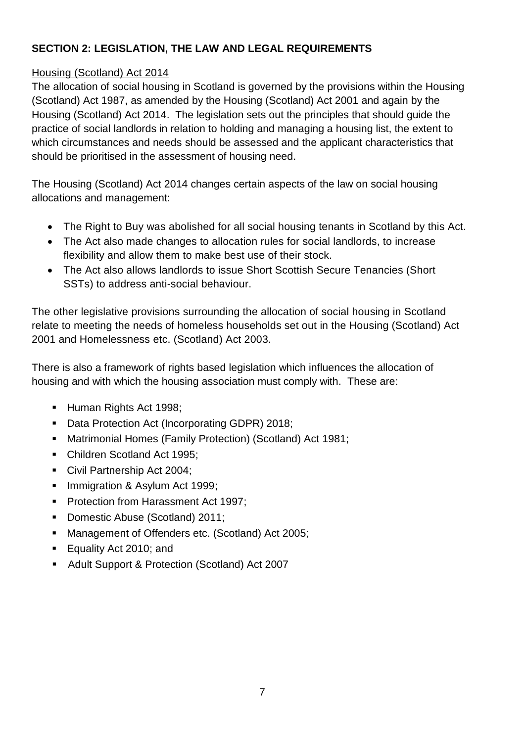### **SECTION 2: LEGISLATION, THE LAW AND LEGAL REQUIREMENTS**

### Housing (Scotland) Act 2014

The allocation of social housing in Scotland is governed by the provisions within the Housing (Scotland) Act 1987, as amended by the Housing (Scotland) Act 2001 and again by the Housing (Scotland) Act 2014. The legislation sets out the principles that should guide the practice of social landlords in relation to holding and managing a housing list, the extent to which circumstances and needs should be assessed and the applicant characteristics that should be prioritised in the assessment of housing need.

The Housing (Scotland) Act 2014 changes certain aspects of the law on social housing allocations and management:

- The Right to Buy was abolished for all social housing tenants in Scotland by this Act.
- The Act also made changes to allocation rules for social landlords, to increase flexibility and allow them to make best use of their stock.
- The Act also allows landlords to issue Short Scottish Secure Tenancies (Short SSTs) to address anti-social behaviour.

The other legislative provisions surrounding the allocation of social housing in Scotland relate to meeting the needs of homeless households set out in the Housing (Scotland) Act 2001 and Homelessness etc. (Scotland) Act 2003.

There is also a framework of rights based legislation which influences the allocation of housing and with which the housing association must comply with. These are:

- Human Rights Act 1998;
- Data Protection Act (Incorporating GDPR) 2018;
- Matrimonial Homes (Family Protection) (Scotland) Act 1981;
- Children Scotland Act 1995;
- Civil Partnership Act 2004:
- **Immigration & Asylum Act 1999;**
- **Protection from Harassment Act 1997;**
- Domestic Abuse (Scotland) 2011;
- Management of Offenders etc. (Scotland) Act 2005;
- Equality Act 2010; and
- Adult Support & Protection (Scotland) Act 2007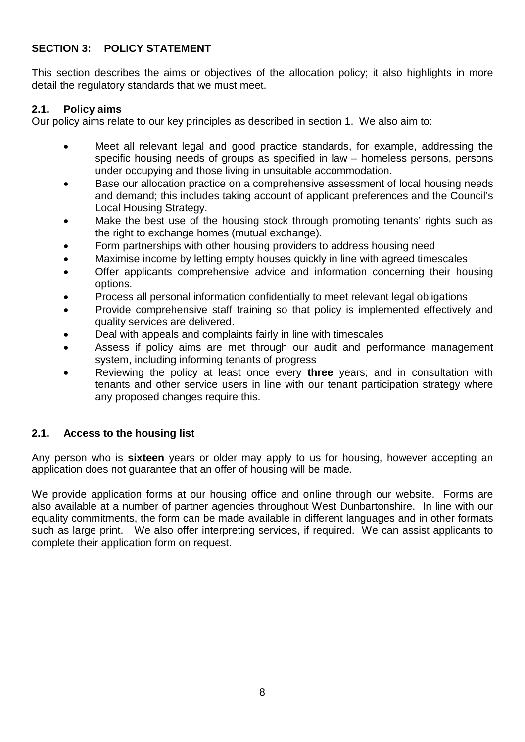### **SECTION 3: POLICY STATEMENT**

This section describes the aims or objectives of the allocation policy; it also highlights in more detail the regulatory standards that we must meet.

### **2.1. Policy aims**

Our policy aims relate to our key principles as described in section 1. We also aim to:

- Meet all relevant legal and good practice standards, for example, addressing the specific housing needs of groups as specified in law – homeless persons, persons under occupying and those living in unsuitable accommodation.
- Base our allocation practice on a comprehensive assessment of local housing needs and demand; this includes taking account of applicant preferences and the Council's Local Housing Strategy.
- Make the best use of the housing stock through promoting tenants' rights such as the right to exchange homes (mutual exchange).
- Form partnerships with other housing providers to address housing need
- Maximise income by letting empty houses quickly in line with agreed timescales
- Offer applicants comprehensive advice and information concerning their housing options.
- Process all personal information confidentially to meet relevant legal obligations
- Provide comprehensive staff training so that policy is implemented effectively and quality services are delivered.
- Deal with appeals and complaints fairly in line with timescales
- Assess if policy aims are met through our audit and performance management system, including informing tenants of progress
- Reviewing the policy at least once every **three** years; and in consultation with tenants and other service users in line with our tenant participation strategy where any proposed changes require this.

### **2.1. Access to the housing list**

Any person who is **sixteen** years or older may apply to us for housing, however accepting an application does not guarantee that an offer of housing will be made.

We provide application forms at our housing office and online through our website. Forms are also available at a number of partner agencies throughout West Dunbartonshire. In line with our equality commitments, the form can be made available in different languages and in other formats such as large print. We also offer interpreting services, if required. We can assist applicants to complete their application form on request.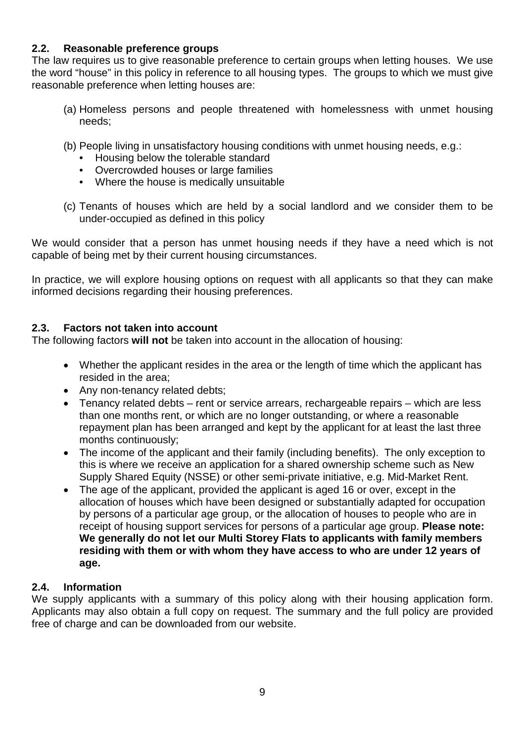### **2.2. Reasonable preference groups**

The law requires us to give reasonable preference to certain groups when letting houses. We use the word "house" in this policy in reference to all housing types. The groups to which we must give reasonable preference when letting houses are:

- (a) Homeless persons and people threatened with homelessness with unmet housing needs;
- (b) People living in unsatisfactory housing conditions with unmet housing needs, e.g.:
	- Housing below the tolerable standard
	- Overcrowded houses or large families
	- Where the house is medically unsuitable
- (c) Tenants of houses which are held by a social landlord and we consider them to be under-occupied as defined in this policy

We would consider that a person has unmet housing needs if they have a need which is not capable of being met by their current housing circumstances.

In practice, we will explore housing options on request with all applicants so that they can make informed decisions regarding their housing preferences.

### **2.3. Factors not taken into account**

The following factors **will not** be taken into account in the allocation of housing:

- Whether the applicant resides in the area or the length of time which the applicant has resided in the area;
- Any non-tenancy related debts;
- Tenancy related debts rent or service arrears, rechargeable repairs which are less than one months rent, or which are no longer outstanding, or where a reasonable repayment plan has been arranged and kept by the applicant for at least the last three months continuously;
- The income of the applicant and their family (including benefits). The only exception to this is where we receive an application for a shared ownership scheme such as New Supply Shared Equity (NSSE) or other semi-private initiative, e.g. Mid-Market Rent.
- The age of the applicant, provided the applicant is aged 16 or over, except in the allocation of houses which have been designed or substantially adapted for occupation by persons of a particular age group, or the allocation of houses to people who are in receipt of housing support services for persons of a particular age group. **Please note: We generally do not let our Multi Storey Flats to applicants with family members residing with them or with whom they have access to who are under 12 years of age.**

### **2.4. Information**

We supply applicants with a summary of this policy along with their housing application form. Applicants may also obtain a full copy on request. The summary and the full policy are provided free of charge and can be downloaded from our website.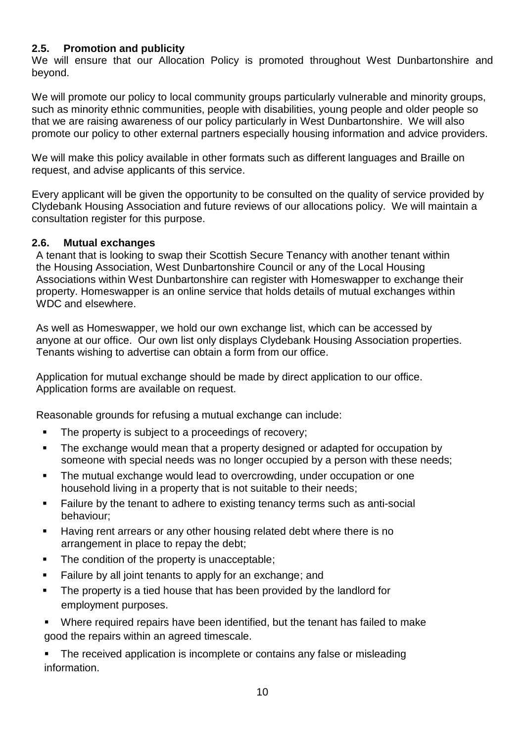### **2.5. Promotion and publicity**

We will ensure that our Allocation Policy is promoted throughout West Dunbartonshire and beyond.

We will promote our policy to local community groups particularly vulnerable and minority groups, such as minority ethnic communities, people with disabilities, young people and older people so that we are raising awareness of our policy particularly in West Dunbartonshire. We will also promote our policy to other external partners especially housing information and advice providers.

We will make this policy available in other formats such as different languages and Braille on request, and advise applicants of this service.

Every applicant will be given the opportunity to be consulted on the quality of service provided by Clydebank Housing Association and future reviews of our allocations policy. We will maintain a consultation register for this purpose.

### **2.6. Mutual exchanges**

A tenant that is looking to swap their Scottish Secure Tenancy with another tenant within the Housing Association, West Dunbartonshire Council or any of the Local Housing Associations within West Dunbartonshire can register with Homeswapper to exchange their property. Homeswapper is an online service that holds details of mutual exchanges within WDC and elsewhere.

As well as Homeswapper, we hold our own exchange list, which can be accessed by anyone at our office. Our own list only displays Clydebank Housing Association properties. Tenants wishing to advertise can obtain a form from our office.

Application for mutual exchange should be made by direct application to our office. Application forms are available on request.

Reasonable grounds for refusing a mutual exchange can include:

- The property is subject to a proceedings of recovery:
- The exchange would mean that a property designed or adapted for occupation by someone with special needs was no longer occupied by a person with these needs;
- The mutual exchange would lead to overcrowding, under occupation or one household living in a property that is not suitable to their needs;
- **Failure by the tenant to adhere to existing tenancy terms such as anti-social** behaviour;
- Having rent arrears or any other housing related debt where there is no arrangement in place to repay the debt;
- The condition of the property is unacceptable;
- Failure by all joint tenants to apply for an exchange; and
- The property is a tied house that has been provided by the landlord for employment purposes.
- Where required repairs have been identified, but the tenant has failed to make good the repairs within an agreed timescale.

 The received application is incomplete or contains any false or misleading information.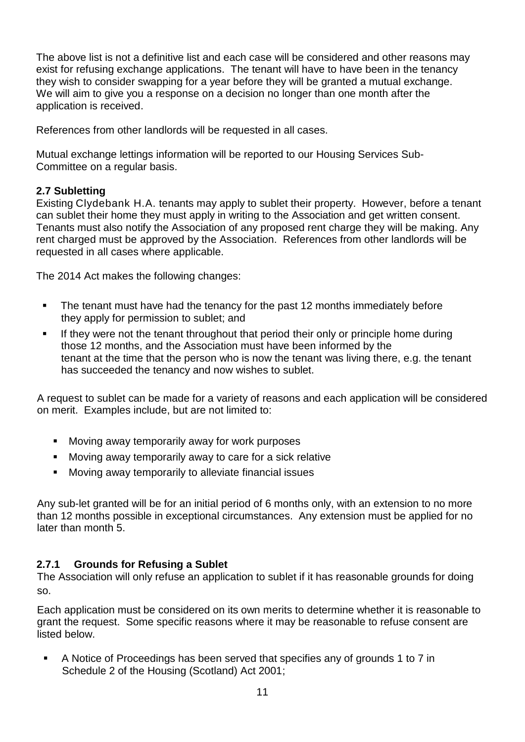The above list is not a definitive list and each case will be considered and other reasons may exist for refusing exchange applications. The tenant will have to have been in the tenancy they wish to consider swapping for a year before they will be granted a mutual exchange. We will aim to give you a response on a decision no longer than one month after the application is received.

References from other landlords will be requested in all cases.

Mutual exchange lettings information will be reported to our Housing Services Sub-Committee on a regular basis.

### **2.7 Subletting**

Existing Clydebank H.A. tenants may apply to sublet their property. However, before a tenant can sublet their home they must apply in writing to the Association and get written consent. Tenants must also notify the Association of any proposed rent charge they will be making. Any rent charged must be approved by the Association. References from other landlords will be requested in all cases where applicable.

The 2014 Act makes the following changes:

- The tenant must have had the tenancy for the past 12 months immediately before they apply for permission to sublet; and
- If they were not the tenant throughout that period their only or principle home during those 12 months, and the Association must have been informed by the tenant at the time that the person who is now the tenant was living there, e.g. the tenant has succeeded the tenancy and now wishes to sublet.

A request to sublet can be made for a variety of reasons and each application will be considered on merit. Examples include, but are not limited to:

- **Moving away temporarily away for work purposes**
- Moving away temporarily away to care for a sick relative
- Moving away temporarily to alleviate financial issues

Any sub-let granted will be for an initial period of 6 months only, with an extension to no more than 12 months possible in exceptional circumstances. Any extension must be applied for no later than month 5.

### **2.7.1 Grounds for Refusing a Sublet**

The Association will only refuse an application to sublet if it has reasonable grounds for doing so.

Each application must be considered on its own merits to determine whether it is reasonable to grant the request. Some specific reasons where it may be reasonable to refuse consent are listed below.

 A Notice of Proceedings has been served that specifies any of grounds 1 to 7 in Schedule 2 of the Housing (Scotland) Act 2001;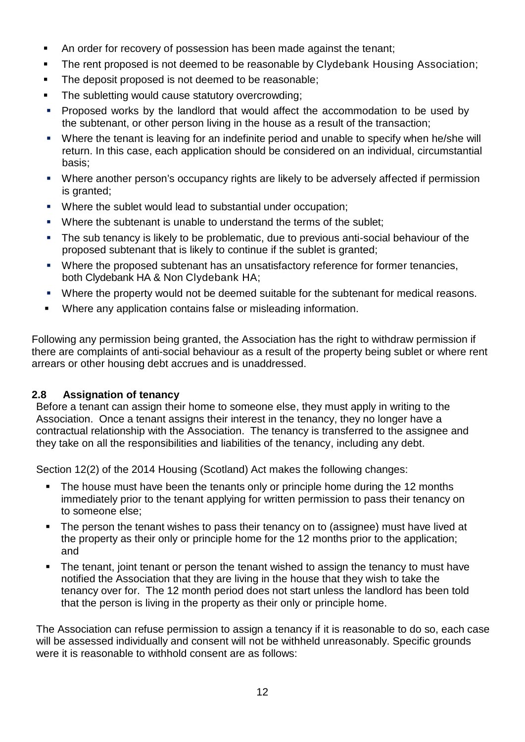- An order for recovery of possession has been made against the tenant;
- The rent proposed is not deemed to be reasonable by Clydebank Housing Association;
- The deposit proposed is not deemed to be reasonable;
- The subletting would cause statutory overcrowding;
- Proposed works by the landlord that would affect the accommodation to be used by the subtenant, or other person living in the house as a result of the transaction;
- Where the tenant is leaving for an indefinite period and unable to specify when he/she will return. In this case, each application should be considered on an individual, circumstantial basis;
- Where another person's occupancy rights are likely to be adversely affected if permission is granted:
- Where the sublet would lead to substantial under occupation;
- **Where the subtenant is unable to understand the terms of the sublet;**
- The sub tenancy is likely to be problematic, due to previous anti-social behaviour of the proposed subtenant that is likely to continue if the sublet is granted;
- Where the proposed subtenant has an unsatisfactory reference for former tenancies, both Clydebank HA & Non Clydebank HA;
- Where the property would not be deemed suitable for the subtenant for medical reasons.
- Where any application contains false or misleading information.

Following any permission being granted, the Association has the right to withdraw permission if there are complaints of anti-social behaviour as a result of the property being sublet or where rent arrears or other housing debt accrues and is unaddressed.

### **2.8 Assignation of tenancy**

Before a tenant can assign their home to someone else, they must apply in writing to the Association. Once a tenant assigns their interest in the tenancy, they no longer have a contractual relationship with the Association. The tenancy is transferred to the assignee and they take on all the responsibilities and liabilities of the tenancy, including any debt.

Section 12(2) of the 2014 Housing (Scotland) Act makes the following changes:

- The house must have been the tenants only or principle home during the 12 months immediately prior to the tenant applying for written permission to pass their tenancy on to someone else;
- The person the tenant wishes to pass their tenancy on to (assignee) must have lived at the property as their only or principle home for the 12 months prior to the application; and
- The tenant, joint tenant or person the tenant wished to assign the tenancy to must have notified the Association that they are living in the house that they wish to take the tenancy over for. The 12 month period does not start unless the landlord has been told that the person is living in the property as their only or principle home.

The Association can refuse permission to assign a tenancy if it is reasonable to do so, each case will be assessed individually and consent will not be withheld unreasonably. Specific grounds were it is reasonable to withhold consent are as follows: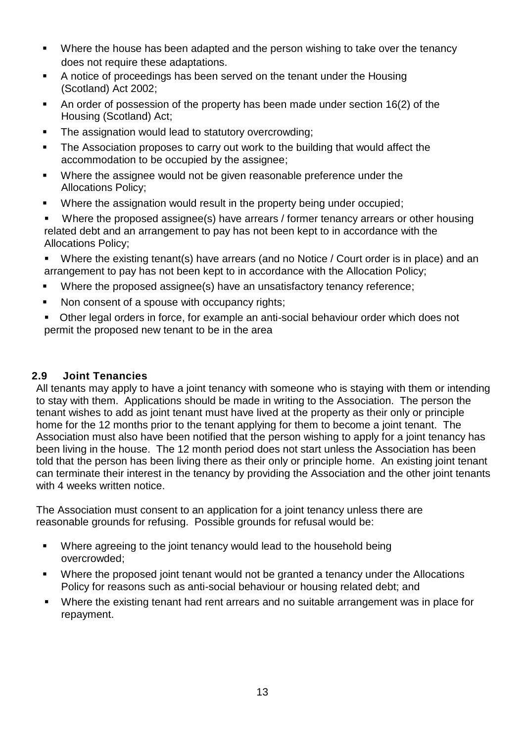- Where the house has been adapted and the person wishing to take over the tenancy does not require these adaptations.
- A notice of proceedings has been served on the tenant under the Housing (Scotland) Act 2002;
- An order of possession of the property has been made under section 16(2) of the Housing (Scotland) Act;
- The assignation would lead to statutory overcrowding;
- The Association proposes to carry out work to the building that would affect the accommodation to be occupied by the assignee;
- Where the assignee would not be given reasonable preference under the Allocations Policy;
- Where the assignation would result in the property being under occupied;
- Where the proposed assignee(s) have arrears / former tenancy arrears or other housing related debt and an arrangement to pay has not been kept to in accordance with the Allocations Policy;
- Where the existing tenant(s) have arrears (and no Notice / Court order is in place) and an arrangement to pay has not been kept to in accordance with the Allocation Policy;
- Where the proposed assignee(s) have an unsatisfactory tenancy reference;
- Non consent of a spouse with occupancy rights;
- Other legal orders in force, for example an anti-social behaviour order which does not permit the proposed new tenant to be in the area

### **2.9 Joint Tenancies**

All tenants may apply to have a joint tenancy with someone who is staying with them or intending to stay with them. Applications should be made in writing to the Association. The person the tenant wishes to add as joint tenant must have lived at the property as their only or principle home for the 12 months prior to the tenant applying for them to become a joint tenant. The Association must also have been notified that the person wishing to apply for a joint tenancy has been living in the house. The 12 month period does not start unless the Association has been told that the person has been living there as their only or principle home. An existing joint tenant can terminate their interest in the tenancy by providing the Association and the other joint tenants with 4 weeks written notice.

The Association must consent to an application for a joint tenancy unless there are reasonable grounds for refusing. Possible grounds for refusal would be:

- Where agreeing to the joint tenancy would lead to the household being overcrowded;
- Where the proposed joint tenant would not be granted a tenancy under the Allocations Policy for reasons such as anti-social behaviour or housing related debt; and
- Where the existing tenant had rent arrears and no suitable arrangement was in place for repayment.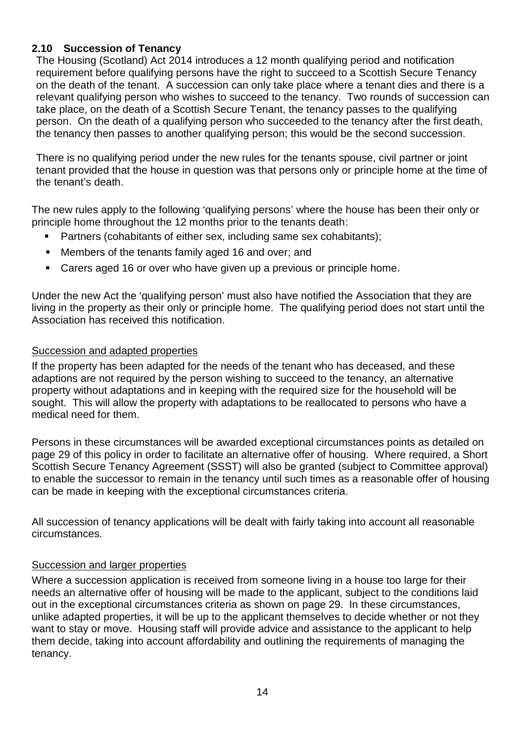### **2.10 Succession of Tenancy**

The Housing (Scotland) Act 2014 introduces a 12 month qualifying period and notification requirement before qualifying persons have the right to succeed to a Scottish Secure Tenancy on the death of the tenant. A succession can only take place where a tenant dies and there is a relevant qualifying person who wishes to succeed to the tenancy. Two rounds of succession can take place, on the death of a Scottish Secure Tenant, the tenancy passes to the qualifying person. On the death of a qualifying person who succeeded to the tenancy after the first death, the tenancy then passes to another qualifying person; this would be the second succession.

There is no qualifying period under the new rules for the tenants spouse, civil partner or joint tenant provided that the house in question was that persons only or principle home at the time of the tenant's death.

The new rules apply to the following 'qualifying persons' where the house has been their only or principle home throughout the 12 months prior to the tenants death:

- Partners (cohabitants of either sex, including same sex cohabitants);
- Members of the tenants family aged 16 and over; and
- Carers aged 16 or over who have given up a previous or principle home.

Under the new Act the 'qualifying person' must also have notified the Association that they are living in the property as their only or principle home. The qualifying period does not start until the Association has received this notification.

### Succession and adapted properties

If the property has been adapted for the needs of the tenant who has deceased, and these adaptions are not required by the person wishing to succeed to the tenancy, an alternative property without adaptations and in keeping with the required size for the household will be sought. This will allow the property with adaptations to be reallocated to persons who have a medical need for them.

Persons in these circumstances will be awarded exceptional circumstances points as detailed on page 29 of this policy in order to facilitate an alternative offer of housing. Where required, a Short Scottish Secure Tenancy Agreement (SSST) will also be granted (subject to Committee approval) to enable the successor to remain in the tenancy until such times as a reasonable offer of housing can be made in keeping with the exceptional circumstances criteria.

All succession of tenancy applications will be dealt with fairly taking into account all reasonable circumstances.

### Succession and larger properties

Where a succession application is received from someone living in a house too large for their needs an alternative offer of housing will be made to the applicant, subject to the conditions laid out in the exceptional circumstances criteria as shown on page 29. In these circumstances, unlike adapted properties, it will be up to the applicant themselves to decide whether or not they want to stay or move. Housing staff will provide advice and assistance to the applicant to help them decide, taking into account affordability and outlining the requirements of managing the tenancy.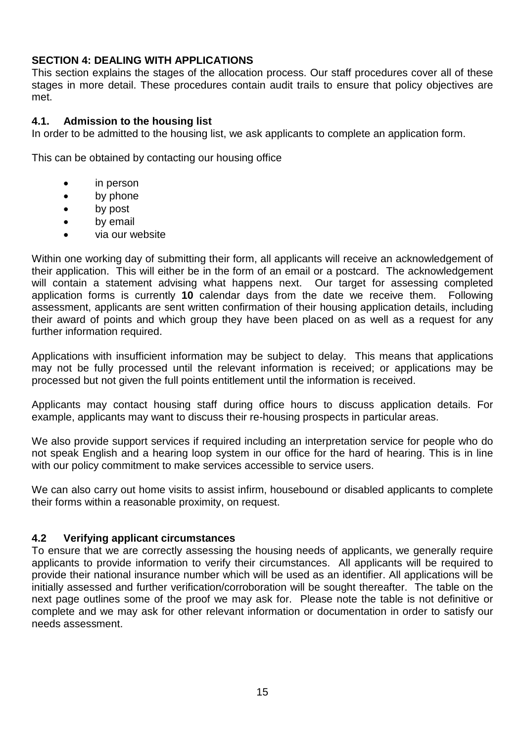### **SECTION 4: DEALING WITH APPLICATIONS**

This section explains the stages of the allocation process. Our staff procedures cover all of these stages in more detail. These procedures contain audit trails to ensure that policy objectives are met.

### **4.1. Admission to the housing list**

In order to be admitted to the housing list, we ask applicants to complete an application form.

This can be obtained by contacting our housing office

- in person
- by phone
- by post
- by email
- via our website

Within one working day of submitting their form, all applicants will receive an acknowledgement of their application. This will either be in the form of an email or a postcard. The acknowledgement will contain a statement advising what happens next. Our target for assessing completed application forms is currently **10** calendar days from the date we receive them. Following assessment, applicants are sent written confirmation of their housing application details, including their award of points and which group they have been placed on as well as a request for any further information required.

Applications with insufficient information may be subject to delay. This means that applications may not be fully processed until the relevant information is received; or applications may be processed but not given the full points entitlement until the information is received.

Applicants may contact housing staff during office hours to discuss application details. For example, applicants may want to discuss their re-housing prospects in particular areas.

We also provide support services if required including an interpretation service for people who do not speak English and a hearing loop system in our office for the hard of hearing. This is in line with our policy commitment to make services accessible to service users.

We can also carry out home visits to assist infirm, housebound or disabled applicants to complete their forms within a reasonable proximity, on request.

### **4.2 Verifying applicant circumstances**

To ensure that we are correctly assessing the housing needs of applicants, we generally require applicants to provide information to verify their circumstances. All applicants will be required to provide their national insurance number which will be used as an identifier. All applications will be initially assessed and further verification/corroboration will be sought thereafter. The table on the next page outlines some of the proof we may ask for. Please note the table is not definitive or complete and we may ask for other relevant information or documentation in order to satisfy our needs assessment.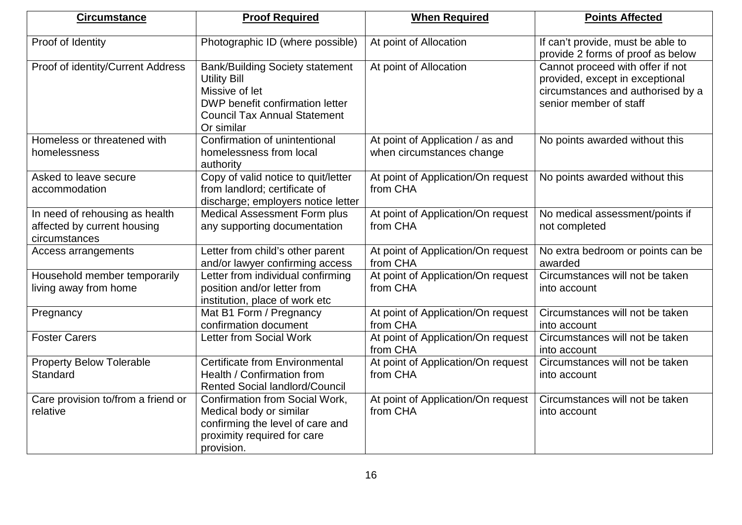| <b>Circumstance</b>                                                            | <b>Proof Required</b>                                                                                                                                                   | <b>When Required</b>                                          | <b>Points Affected</b>                                                                                                             |
|--------------------------------------------------------------------------------|-------------------------------------------------------------------------------------------------------------------------------------------------------------------------|---------------------------------------------------------------|------------------------------------------------------------------------------------------------------------------------------------|
| Proof of Identity                                                              | Photographic ID (where possible)                                                                                                                                        | At point of Allocation                                        | If can't provide, must be able to<br>provide 2 forms of proof as below                                                             |
| Proof of identity/Current Address                                              | <b>Bank/Building Society statement</b><br><b>Utility Bill</b><br>Missive of let<br>DWP benefit confirmation letter<br><b>Council Tax Annual Statement</b><br>Or similar | At point of Allocation                                        | Cannot proceed with offer if not<br>provided, except in exceptional<br>circumstances and authorised by a<br>senior member of staff |
| Homeless or threatened with<br>homelessness                                    | Confirmation of unintentional<br>homelessness from local<br>authority                                                                                                   | At point of Application / as and<br>when circumstances change | No points awarded without this                                                                                                     |
| Asked to leave secure<br>accommodation                                         | Copy of valid notice to quit/letter<br>from landlord; certificate of<br>discharge; employers notice letter                                                              | At point of Application/On request<br>from CHA                | No points awarded without this                                                                                                     |
| In need of rehousing as health<br>affected by current housing<br>circumstances | <b>Medical Assessment Form plus</b><br>any supporting documentation                                                                                                     | At point of Application/On request<br>from CHA                | No medical assessment/points if<br>not completed                                                                                   |
| Access arrangements                                                            | Letter from child's other parent<br>and/or lawyer confirming access                                                                                                     | At point of Application/On request<br>from CHA                | No extra bedroom or points can be<br>awarded                                                                                       |
| Household member temporarily<br>living away from home                          | Letter from individual confirming<br>position and/or letter from<br>institution, place of work etc                                                                      | At point of Application/On request<br>from CHA                | Circumstances will not be taken<br>into account                                                                                    |
| Pregnancy                                                                      | Mat B1 Form / Pregnancy<br>confirmation document                                                                                                                        | At point of Application/On request<br>from CHA                | Circumstances will not be taken<br>into account                                                                                    |
| <b>Foster Carers</b>                                                           | <b>Letter from Social Work</b>                                                                                                                                          | At point of Application/On request<br>from CHA                | Circumstances will not be taken<br>into account                                                                                    |
| <b>Property Below Tolerable</b><br>Standard                                    | <b>Certificate from Environmental</b><br>Health / Confirmation from<br><b>Rented Social landlord/Council</b>                                                            | At point of Application/On request<br>from CHA                | Circumstances will not be taken<br>into account                                                                                    |
| Care provision to/from a friend or<br>relative                                 | Confirmation from Social Work,<br>Medical body or similar<br>confirming the level of care and<br>proximity required for care<br>provision.                              | At point of Application/On request<br>from CHA                | Circumstances will not be taken<br>into account                                                                                    |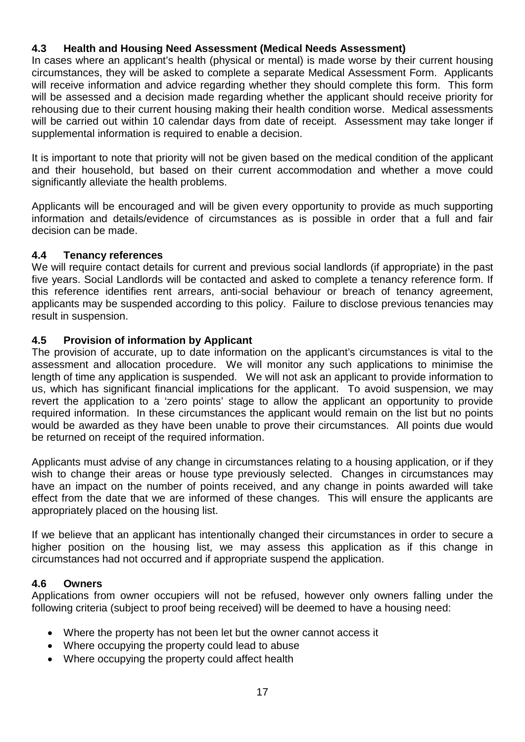### **4.3 Health and Housing Need Assessment (Medical Needs Assessment)**

In cases where an applicant's health (physical or mental) is made worse by their current housing circumstances, they will be asked to complete a separate Medical Assessment Form. Applicants will receive information and advice regarding whether they should complete this form. This form will be assessed and a decision made regarding whether the applicant should receive priority for rehousing due to their current housing making their health condition worse. Medical assessments will be carried out within 10 calendar days from date of receipt. Assessment may take longer if supplemental information is required to enable a decision.

It is important to note that priority will not be given based on the medical condition of the applicant and their household, but based on their current accommodation and whether a move could significantly alleviate the health problems.

Applicants will be encouraged and will be given every opportunity to provide as much supporting information and details/evidence of circumstances as is possible in order that a full and fair decision can be made.

### **4.4 Tenancy references**

We will require contact details for current and previous social landlords (if appropriate) in the past five years. Social Landlords will be contacted and asked to complete a tenancy reference form. If this reference identifies rent arrears, anti-social behaviour or breach of tenancy agreement, applicants may be suspended according to this policy. Failure to disclose previous tenancies may result in suspension.

### **4.5 Provision of information by Applicant**

The provision of accurate, up to date information on the applicant's circumstances is vital to the assessment and allocation procedure. We will monitor any such applications to minimise the length of time any application is suspended. We will not ask an applicant to provide information to us, which has significant financial implications for the applicant. To avoid suspension, we may revert the application to a 'zero points' stage to allow the applicant an opportunity to provide required information. In these circumstances the applicant would remain on the list but no points would be awarded as they have been unable to prove their circumstances. All points due would be returned on receipt of the required information.

Applicants must advise of any change in circumstances relating to a housing application, or if they wish to change their areas or house type previously selected. Changes in circumstances may have an impact on the number of points received, and any change in points awarded will take effect from the date that we are informed of these changes. This will ensure the applicants are appropriately placed on the housing list.

If we believe that an applicant has intentionally changed their circumstances in order to secure a higher position on the housing list, we may assess this application as if this change in circumstances had not occurred and if appropriate suspend the application.

### **4.6 Owners**

Applications from owner occupiers will not be refused, however only owners falling under the following criteria (subject to proof being received) will be deemed to have a housing need:

- Where the property has not been let but the owner cannot access it
- Where occupying the property could lead to abuse
- Where occupying the property could affect health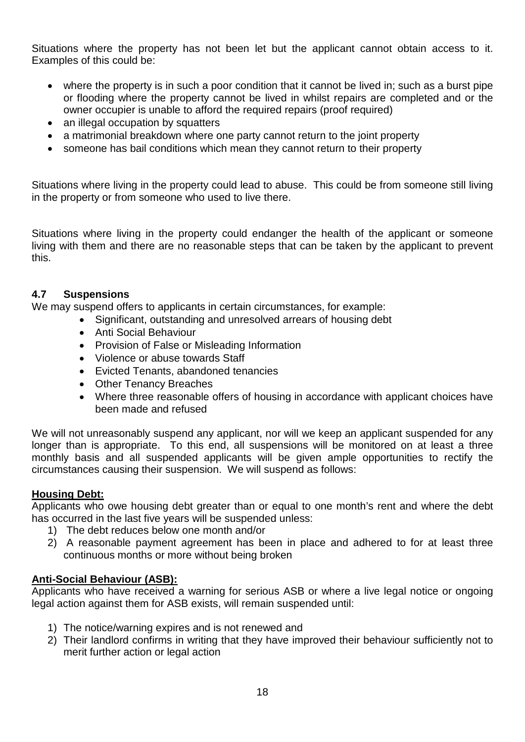Situations where the property has not been let but the applicant cannot obtain access to it. Examples of this could be:

- where the property is in such a poor condition that it cannot be lived in; such as a burst pipe or flooding where the property cannot be lived in whilst repairs are completed and or the owner occupier is unable to afford the required repairs (proof required)
- an illegal occupation by squatters
- a matrimonial breakdown where one party cannot return to the joint property
- someone has bail conditions which mean they cannot return to their property

Situations where living in the property could lead to abuse. This could be from someone still living in the property or from someone who used to live there.

Situations where living in the property could endanger the health of the applicant or someone living with them and there are no reasonable steps that can be taken by the applicant to prevent this.

### **4.7 Suspensions**

We may suspend offers to applicants in certain circumstances, for example:

- Significant, outstanding and unresolved arrears of housing debt
- Anti Social Behaviour
- Provision of False or Misleading Information
- Violence or abuse towards Staff
- Evicted Tenants, abandoned tenancies
- Other Tenancy Breaches
- Where three reasonable offers of housing in accordance with applicant choices have been made and refused

We will not unreasonably suspend any applicant, nor will we keep an applicant suspended for any longer than is appropriate. To this end, all suspensions will be monitored on at least a three monthly basis and all suspended applicants will be given ample opportunities to rectify the circumstances causing their suspension. We will suspend as follows:

### **Housing Debt:**

Applicants who owe housing debt greater than or equal to one month's rent and where the debt has occurred in the last five years will be suspended unless:

- 1) The debt reduces below one month and/or
- 2) A reasonable payment agreement has been in place and adhered to for at least three continuous months or more without being broken

### **Anti-Social Behaviour (ASB):**

Applicants who have received a warning for serious ASB or where a live legal notice or ongoing legal action against them for ASB exists, will remain suspended until:

- 1) The notice/warning expires and is not renewed and
- 2) Their landlord confirms in writing that they have improved their behaviour sufficiently not to merit further action or legal action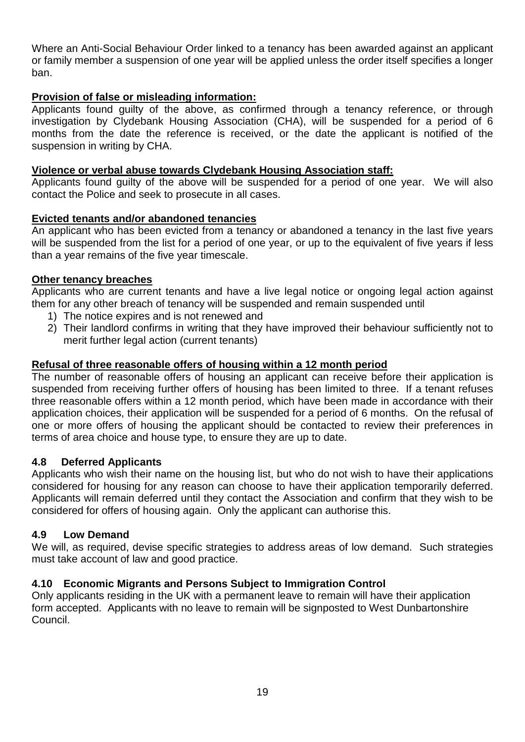Where an Anti-Social Behaviour Order linked to a tenancy has been awarded against an applicant or family member a suspension of one year will be applied unless the order itself specifies a longer ban.

### **Provision of false or misleading information:**

Applicants found guilty of the above, as confirmed through a tenancy reference, or through investigation by Clydebank Housing Association (CHA), will be suspended for a period of 6 months from the date the reference is received, or the date the applicant is notified of the suspension in writing by CHA.

### **Violence or verbal abuse towards Clydebank Housing Association staff:**

Applicants found guilty of the above will be suspended for a period of one year. We will also contact the Police and seek to prosecute in all cases.

### **Evicted tenants and/or abandoned tenancies**

An applicant who has been evicted from a tenancy or abandoned a tenancy in the last five years will be suspended from the list for a period of one year, or up to the equivalent of five years if less than a year remains of the five year timescale.

### **Other tenancy breaches**

Applicants who are current tenants and have a live legal notice or ongoing legal action against them for any other breach of tenancy will be suspended and remain suspended until

- 1) The notice expires and is not renewed and
- 2) Their landlord confirms in writing that they have improved their behaviour sufficiently not to merit further legal action (current tenants)

### **Refusal of three reasonable offers of housing within a 12 month period**

The number of reasonable offers of housing an applicant can receive before their application is suspended from receiving further offers of housing has been limited to three. If a tenant refuses three reasonable offers within a 12 month period, which have been made in accordance with their application choices, their application will be suspended for a period of 6 months. On the refusal of one or more offers of housing the applicant should be contacted to review their preferences in terms of area choice and house type, to ensure they are up to date.

### **4.8 Deferred Applicants**

Applicants who wish their name on the housing list, but who do not wish to have their applications considered for housing for any reason can choose to have their application temporarily deferred. Applicants will remain deferred until they contact the Association and confirm that they wish to be considered for offers of housing again. Only the applicant can authorise this.

### **4.9 Low Demand**

We will, as required, devise specific strategies to address areas of low demand. Such strategies must take account of law and good practice.

### **4.10 Economic Migrants and Persons Subject to Immigration Control**

Only applicants residing in the UK with a permanent leave to remain will have their application form accepted. Applicants with no leave to remain will be signposted to West Dunbartonshire Council.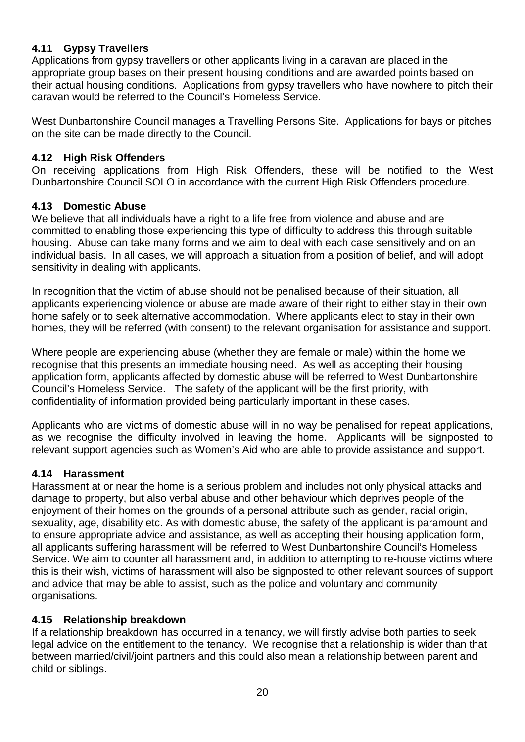### **4.11 Gypsy Travellers**

Applications from gypsy travellers or other applicants living in a caravan are placed in the appropriate group bases on their present housing conditions and are awarded points based on their actual housing conditions. Applications from gypsy travellers who have nowhere to pitch their caravan would be referred to the Council's Homeless Service.

West Dunbartonshire Council manages a Travelling Persons Site. Applications for bays or pitches on the site can be made directly to the Council.

### **4.12 High Risk Offenders**

On receiving applications from High Risk Offenders, these will be notified to the West Dunbartonshire Council SOLO in accordance with the current High Risk Offenders procedure.

### **4.13 Domestic Abuse**

We believe that all individuals have a right to a life free from violence and abuse and are committed to enabling those experiencing this type of difficulty to address this through suitable housing. Abuse can take many forms and we aim to deal with each case sensitively and on an individual basis. In all cases, we will approach a situation from a position of belief, and will adopt sensitivity in dealing with applicants.

In recognition that the victim of abuse should not be penalised because of their situation, all applicants experiencing violence or abuse are made aware of their right to either stay in their own home safely or to seek alternative accommodation. Where applicants elect to stay in their own homes, they will be referred (with consent) to the relevant organisation for assistance and support.

Where people are experiencing abuse (whether they are female or male) within the home we recognise that this presents an immediate housing need. As well as accepting their housing application form, applicants affected by domestic abuse will be referred to West Dunbartonshire Council's Homeless Service. The safety of the applicant will be the first priority, with confidentiality of information provided being particularly important in these cases.

Applicants who are victims of domestic abuse will in no way be penalised for repeat applications, as we recognise the difficulty involved in leaving the home. Applicants will be signposted to relevant support agencies such as Women's Aid who are able to provide assistance and support.

### **4.14 Harassment**

Harassment at or near the home is a serious problem and includes not only physical attacks and damage to property, but also verbal abuse and other behaviour which deprives people of the enjoyment of their homes on the grounds of a personal attribute such as gender, racial origin, sexuality, age, disability etc. As with domestic abuse, the safety of the applicant is paramount and to ensure appropriate advice and assistance, as well as accepting their housing application form, all applicants suffering harassment will be referred to West Dunbartonshire Council's Homeless Service. We aim to counter all harassment and, in addition to attempting to re-house victims where this is their wish, victims of harassment will also be signposted to other relevant sources of support and advice that may be able to assist, such as the police and voluntary and community organisations.

### **4.15 Relationship breakdown**

If a relationship breakdown has occurred in a tenancy, we will firstly advise both parties to seek legal advice on the entitlement to the tenancy. We recognise that a relationship is wider than that between married/civil/joint partners and this could also mean a relationship between parent and child or siblings.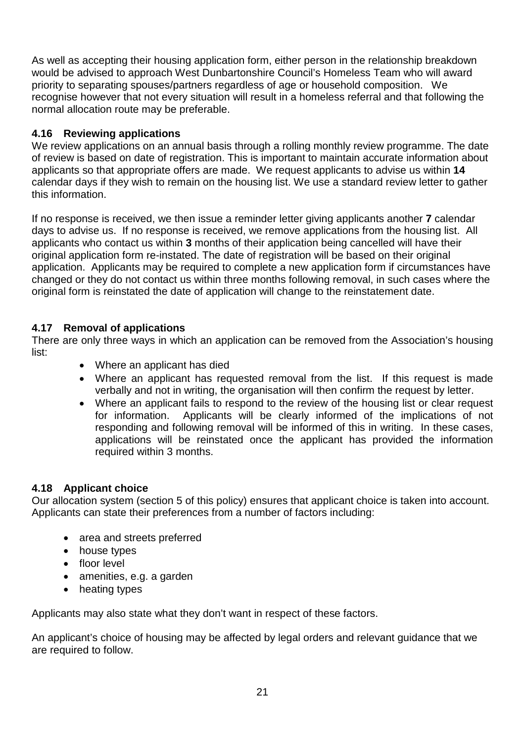As well as accepting their housing application form, either person in the relationship breakdown would be advised to approach West Dunbartonshire Council's Homeless Team who will award priority to separating spouses/partners regardless of age or household composition. We recognise however that not every situation will result in a homeless referral and that following the normal allocation route may be preferable.

### **4.16 Reviewing applications**

We review applications on an annual basis through a rolling monthly review programme. The date of review is based on date of registration. This is important to maintain accurate information about applicants so that appropriate offers are made. We request applicants to advise us within **14** calendar days if they wish to remain on the housing list. We use a standard review letter to gather this information.

If no response is received, we then issue a reminder letter giving applicants another **7** calendar days to advise us. If no response is received, we remove applications from the housing list. All applicants who contact us within **3** months of their application being cancelled will have their original application form re-instated. The date of registration will be based on their original application. Applicants may be required to complete a new application form if circumstances have changed or they do not contact us within three months following removal, in such cases where the original form is reinstated the date of application will change to the reinstatement date.

### **4.17 Removal of applications**

There are only three ways in which an application can be removed from the Association's housing list:

- Where an applicant has died
- Where an applicant has requested removal from the list. If this request is made verbally and not in writing, the organisation will then confirm the request by letter.
- Where an applicant fails to respond to the review of the housing list or clear request for information. Applicants will be clearly informed of the implications of not responding and following removal will be informed of this in writing. In these cases, applications will be reinstated once the applicant has provided the information required within 3 months.

### **4.18 Applicant choice**

Our allocation system (section 5 of this policy) ensures that applicant choice is taken into account. Applicants can state their preferences from a number of factors including:

- area and streets preferred
- house types
- floor level
- amenities, e.g. a garden
- heating types

Applicants may also state what they don't want in respect of these factors.

An applicant's choice of housing may be affected by legal orders and relevant guidance that we are required to follow.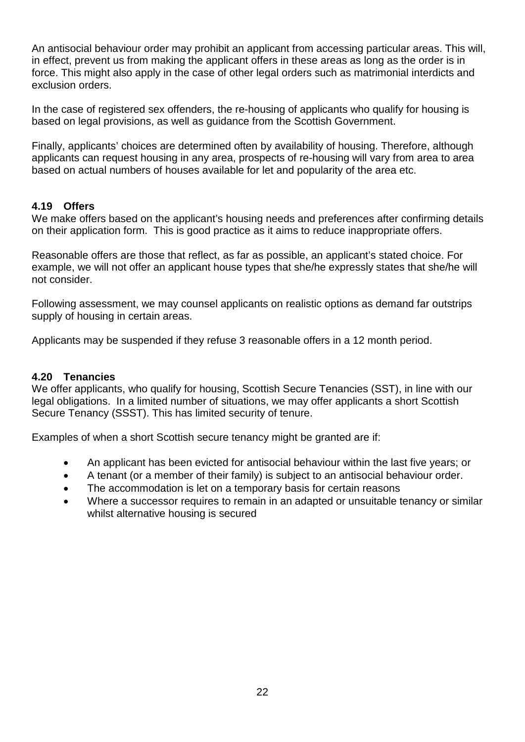An antisocial behaviour order may prohibit an applicant from accessing particular areas. This will, in effect, prevent us from making the applicant offers in these areas as long as the order is in force. This might also apply in the case of other legal orders such as matrimonial interdicts and exclusion orders.

In the case of registered sex offenders, the re-housing of applicants who qualify for housing is based on legal provisions, as well as guidance from the Scottish Government.

Finally, applicants' choices are determined often by availability of housing. Therefore, although applicants can request housing in any area, prospects of re-housing will vary from area to area based on actual numbers of houses available for let and popularity of the area etc.

### **4.19 Offers**

We make offers based on the applicant's housing needs and preferences after confirming details on their application form. This is good practice as it aims to reduce inappropriate offers.

Reasonable offers are those that reflect, as far as possible, an applicant's stated choice. For example, we will not offer an applicant house types that she/he expressly states that she/he will not consider.

Following assessment, we may counsel applicants on realistic options as demand far outstrips supply of housing in certain areas.

Applicants may be suspended if they refuse 3 reasonable offers in a 12 month period.

### **4.20 Tenancies**

We offer applicants, who qualify for housing, Scottish Secure Tenancies (SST), in line with our legal obligations. In a limited number of situations, we may offer applicants a short Scottish Secure Tenancy (SSST). This has limited security of tenure.

Examples of when a short Scottish secure tenancy might be granted are if:

- An applicant has been evicted for antisocial behaviour within the last five years; or
- A tenant (or a member of their family) is subject to an antisocial behaviour order.
- The accommodation is let on a temporary basis for certain reasons
- Where a successor requires to remain in an adapted or unsuitable tenancy or similar whilst alternative housing is secured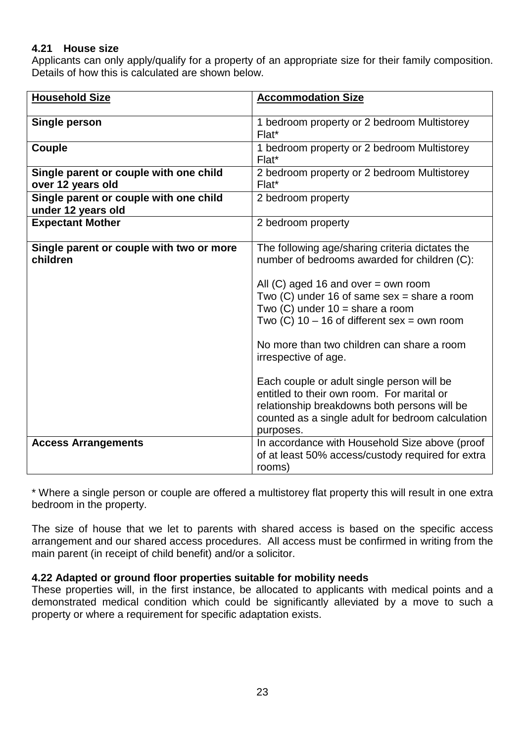### **4.21 House size**

Applicants can only apply/qualify for a property of an appropriate size for their family composition. Details of how this is calculated are shown below.

| <b>Household Size</b>                                        | <b>Accommodation Size</b>                                                                                                                                                                                                                                                                                                                                                                                                                                                                                                                                             |
|--------------------------------------------------------------|-----------------------------------------------------------------------------------------------------------------------------------------------------------------------------------------------------------------------------------------------------------------------------------------------------------------------------------------------------------------------------------------------------------------------------------------------------------------------------------------------------------------------------------------------------------------------|
|                                                              |                                                                                                                                                                                                                                                                                                                                                                                                                                                                                                                                                                       |
| Single person                                                | 1 bedroom property or 2 bedroom Multistorey<br>Flat*                                                                                                                                                                                                                                                                                                                                                                                                                                                                                                                  |
| Couple                                                       | 1 bedroom property or 2 bedroom Multistorey<br>Flat*                                                                                                                                                                                                                                                                                                                                                                                                                                                                                                                  |
| Single parent or couple with one child<br>over 12 years old  | 2 bedroom property or 2 bedroom Multistorey<br>Flat*                                                                                                                                                                                                                                                                                                                                                                                                                                                                                                                  |
| Single parent or couple with one child<br>under 12 years old | 2 bedroom property                                                                                                                                                                                                                                                                                                                                                                                                                                                                                                                                                    |
| <b>Expectant Mother</b>                                      | 2 bedroom property                                                                                                                                                                                                                                                                                                                                                                                                                                                                                                                                                    |
| Single parent or couple with two or more<br>children         | The following age/sharing criteria dictates the<br>number of bedrooms awarded for children (C):<br>All $(C)$ aged 16 and over = own room<br>Two $(C)$ under 16 of same sex = share a room<br>Two $(C)$ under $10 =$ share a room<br>Two $(C)$ 10 – 16 of different sex = own room<br>No more than two children can share a room<br>irrespective of age.<br>Each couple or adult single person will be<br>entitled to their own room. For marital or<br>relationship breakdowns both persons will be<br>counted as a single adult for bedroom calculation<br>purposes. |
| <b>Access Arrangements</b>                                   | In accordance with Household Size above (proof<br>of at least 50% access/custody required for extra<br>rooms)                                                                                                                                                                                                                                                                                                                                                                                                                                                         |

\* Where a single person or couple are offered a multistorey flat property this will result in one extra bedroom in the property.

The size of house that we let to parents with shared access is based on the specific access arrangement and our shared access procedures. All access must be confirmed in writing from the main parent (in receipt of child benefit) and/or a solicitor.

### **4.22 Adapted or ground floor properties suitable for mobility needs**

These properties will, in the first instance, be allocated to applicants with medical points and a demonstrated medical condition which could be significantly alleviated by a move to such a property or where a requirement for specific adaptation exists.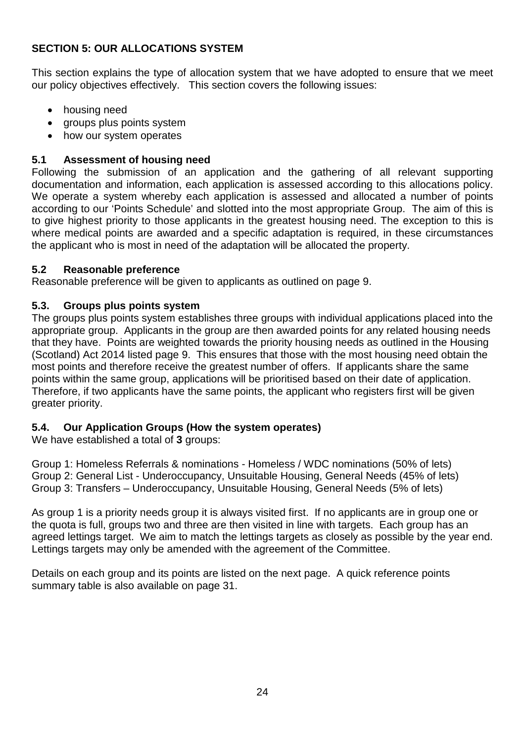### **SECTION 5: OUR ALLOCATIONS SYSTEM**

This section explains the type of allocation system that we have adopted to ensure that we meet our policy objectives effectively. This section covers the following issues:

- housing need
- groups plus points system
- how our system operates

### **5.1 Assessment of housing need**

Following the submission of an application and the gathering of all relevant supporting documentation and information, each application is assessed according to this allocations policy. We operate a system whereby each application is assessed and allocated a number of points according to our 'Points Schedule' and slotted into the most appropriate Group. The aim of this is to give highest priority to those applicants in the greatest housing need. The exception to this is where medical points are awarded and a specific adaptation is required, in these circumstances the applicant who is most in need of the adaptation will be allocated the property.

### **5.2 Reasonable preference**

Reasonable preference will be given to applicants as outlined on page 9.

### **5.3. Groups plus points system**

The groups plus points system establishes three groups with individual applications placed into the appropriate group. Applicants in the group are then awarded points for any related housing needs that they have. Points are weighted towards the priority housing needs as outlined in the Housing (Scotland) Act 2014 listed page 9. This ensures that those with the most housing need obtain the most points and therefore receive the greatest number of offers. If applicants share the same points within the same group, applications will be prioritised based on their date of application. Therefore, if two applicants have the same points, the applicant who registers first will be given greater priority.

### **5.4. Our Application Groups (How the system operates)**

We have established a total of **3** groups:

Group 1: Homeless Referrals & nominations - Homeless / WDC nominations (50% of lets) Group 2: General List - Underoccupancy, Unsuitable Housing, General Needs (45% of lets) Group 3: Transfers – Underoccupancy, Unsuitable Housing, General Needs (5% of lets)

As group 1 is a priority needs group it is always visited first. If no applicants are in group one or the quota is full, groups two and three are then visited in line with targets. Each group has an agreed lettings target. We aim to match the lettings targets as closely as possible by the year end. Lettings targets may only be amended with the agreement of the Committee.

Details on each group and its points are listed on the next page. A quick reference points summary table is also available on page 31.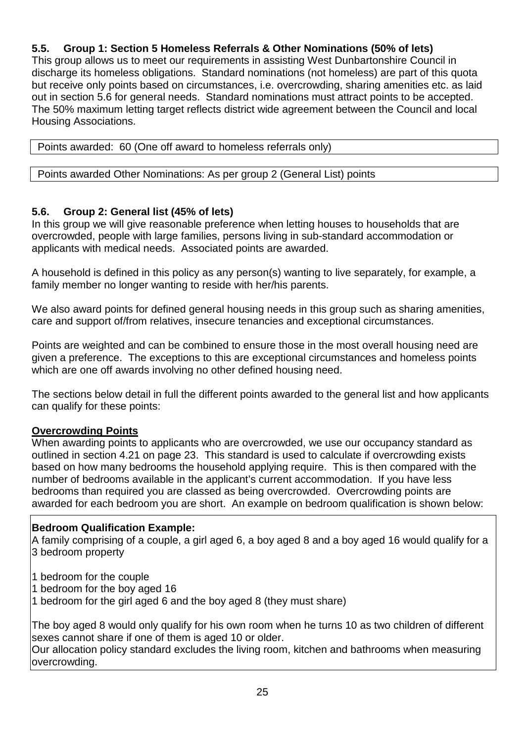### **5.5. Group 1: Section 5 Homeless Referrals & Other Nominations (50% of lets)**

This group allows us to meet our requirements in assisting West Dunbartonshire Council in discharge its homeless obligations. Standard nominations (not homeless) are part of this quota but receive only points based on circumstances, i.e. overcrowding, sharing amenities etc. as laid out in section 5.6 for general needs. Standard nominations must attract points to be accepted. The 50% maximum letting target reflects district wide agreement between the Council and local Housing Associations.

|  |  | Points awarded: 60 (One off award to homeless referrals only) |  |
|--|--|---------------------------------------------------------------|--|
|--|--|---------------------------------------------------------------|--|

Points awarded Other Nominations: As per group 2 (General List) points

### **5.6. Group 2: General list (45% of lets)**

In this group we will give reasonable preference when letting houses to households that are overcrowded, people with large families, persons living in sub-standard accommodation or applicants with medical needs. Associated points are awarded.

A household is defined in this policy as any person(s) wanting to live separately, for example, a family member no longer wanting to reside with her/his parents.

We also award points for defined general housing needs in this group such as sharing amenities, care and support of/from relatives, insecure tenancies and exceptional circumstances.

Points are weighted and can be combined to ensure those in the most overall housing need are given a preference. The exceptions to this are exceptional circumstances and homeless points which are one off awards involving no other defined housing need.

The sections below detail in full the different points awarded to the general list and how applicants can qualify for these points:

### **Overcrowding Points**

When awarding points to applicants who are overcrowded, we use our occupancy standard as outlined in section 4.21 on page 23. This standard is used to calculate if overcrowding exists based on how many bedrooms the household applying require. This is then compared with the number of bedrooms available in the applicant's current accommodation. If you have less bedrooms than required you are classed as being overcrowded. Overcrowding points are awarded for each bedroom you are short. An example on bedroom qualification is shown below:

### **Bedroom Qualification Example:**

A family comprising of a couple, a girl aged 6, a boy aged 8 and a boy aged 16 would qualify for a 3 bedroom property

1 bedroom for the couple

1 bedroom for the boy aged 16

1 bedroom for the girl aged 6 and the boy aged 8 (they must share)

The boy aged 8 would only qualify for his own room when he turns 10 as two children of different sexes cannot share if one of them is aged 10 or older.

Our allocation policy standard excludes the living room, kitchen and bathrooms when measuring overcrowding.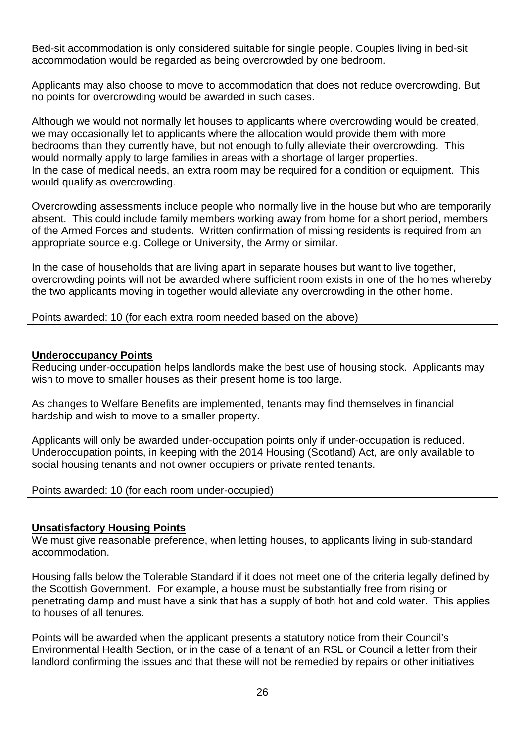Bed-sit accommodation is only considered suitable for single people. Couples living in bed-sit accommodation would be regarded as being overcrowded by one bedroom.

Applicants may also choose to move to accommodation that does not reduce overcrowding. But no points for overcrowding would be awarded in such cases.

Although we would not normally let houses to applicants where overcrowding would be created, we may occasionally let to applicants where the allocation would provide them with more bedrooms than they currently have, but not enough to fully alleviate their overcrowding. This would normally apply to large families in areas with a shortage of larger properties. In the case of medical needs, an extra room may be required for a condition or equipment. This would qualify as overcrowding.

Overcrowding assessments include people who normally live in the house but who are temporarily absent. This could include family members working away from home for a short period, members of the Armed Forces and students. Written confirmation of missing residents is required from an appropriate source e.g. College or University, the Army or similar.

In the case of households that are living apart in separate houses but want to live together, overcrowding points will not be awarded where sufficient room exists in one of the homes whereby the two applicants moving in together would alleviate any overcrowding in the other home.

Points awarded: 10 (for each extra room needed based on the above)

#### **Underoccupancy Points**

Reducing under-occupation helps landlords make the best use of housing stock. Applicants may wish to move to smaller houses as their present home is too large.

As changes to Welfare Benefits are implemented, tenants may find themselves in financial hardship and wish to move to a smaller property.

Applicants will only be awarded under-occupation points only if under-occupation is reduced. Underoccupation points, in keeping with the 2014 Housing (Scotland) Act, are only available to social housing tenants and not owner occupiers or private rented tenants.

| Points awarded: 10 (for each room under-occupied) |  |
|---------------------------------------------------|--|
|---------------------------------------------------|--|

### **Unsatisfactory Housing Points**

We must give reasonable preference, when letting houses, to applicants living in sub-standard accommodation.

Housing falls below the Tolerable Standard if it does not meet one of the criteria legally defined by the Scottish Government. For example, a house must be substantially free from rising or penetrating damp and must have a sink that has a supply of both hot and cold water. This applies to houses of all tenures.

Points will be awarded when the applicant presents a statutory notice from their Council's Environmental Health Section, or in the case of a tenant of an RSL or Council a letter from their landlord confirming the issues and that these will not be remedied by repairs or other initiatives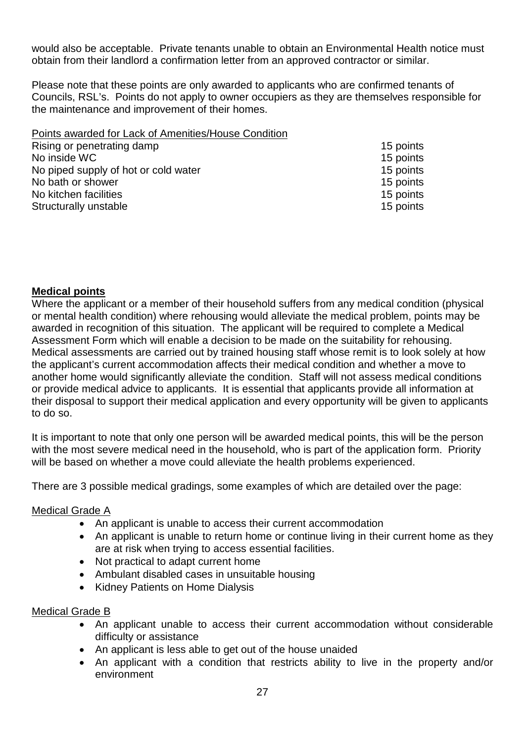would also be acceptable. Private tenants unable to obtain an Environmental Health notice must obtain from their landlord a confirmation letter from an approved contractor or similar.

Please note that these points are only awarded to applicants who are confirmed tenants of Councils, RSL's. Points do not apply to owner occupiers as they are themselves responsible for the maintenance and improvement of their homes.

| Points awarded for Lack of Amenities/House Condition |           |
|------------------------------------------------------|-----------|
| Rising or penetrating damp                           | 15 points |
| No inside WC                                         | 15 points |
| No piped supply of hot or cold water                 | 15 points |
| No bath or shower                                    | 15 points |
| No kitchen facilities                                | 15 points |

Structurally unstable 15 points 15 points

### **Medical points**

Where the applicant or a member of their household suffers from any medical condition (physical or mental health condition) where rehousing would alleviate the medical problem, points may be awarded in recognition of this situation. The applicant will be required to complete a Medical Assessment Form which will enable a decision to be made on the suitability for rehousing. Medical assessments are carried out by trained housing staff whose remit is to look solely at how the applicant's current accommodation affects their medical condition and whether a move to another home would significantly alleviate the condition. Staff will not assess medical conditions or provide medical advice to applicants. It is essential that applicants provide all information at their disposal to support their medical application and every opportunity will be given to applicants to do so.

It is important to note that only one person will be awarded medical points, this will be the person with the most severe medical need in the household, who is part of the application form. Priority will be based on whether a move could alleviate the health problems experienced.

There are 3 possible medical gradings, some examples of which are detailed over the page:

### Medical Grade A

- An applicant is unable to access their current accommodation
- An applicant is unable to return home or continue living in their current home as they are at risk when trying to access essential facilities.
- Not practical to adapt current home
- Ambulant disabled cases in unsuitable housing
- Kidney Patients on Home Dialysis

### Medical Grade B

- An applicant unable to access their current accommodation without considerable difficulty or assistance
- An applicant is less able to get out of the house unaided
- An applicant with a condition that restricts ability to live in the property and/or environment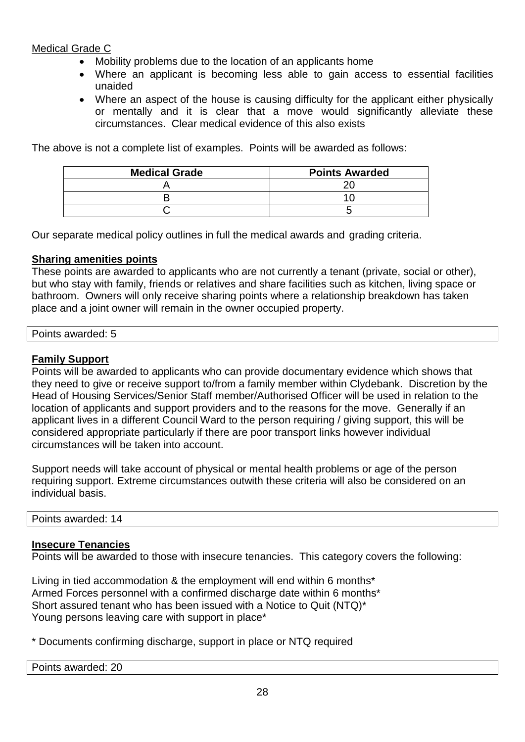### Medical Grade C

- Mobility problems due to the location of an applicants home
- Where an applicant is becoming less able to gain access to essential facilities unaided
- Where an aspect of the house is causing difficulty for the applicant either physically or mentally and it is clear that a move would significantly alleviate these circumstances. Clear medical evidence of this also exists

The above is not a complete list of examples. Points will be awarded as follows:

| <b>Medical Grade</b> | <b>Points Awarded</b> |
|----------------------|-----------------------|
|                      |                       |
|                      |                       |
|                      |                       |

Our separate medical policy outlines in full the medical awards and grading criteria.

### **Sharing amenities points**

These points are awarded to applicants who are not currently a tenant (private, social or other), but who stay with family, friends or relatives and share facilities such as kitchen, living space or bathroom. Owners will only receive sharing points where a relationship breakdown has taken place and a joint owner will remain in the owner occupied property.

| $D - 1 - 1 - 1$<br>oints awarded: 5 |  |  |
|-------------------------------------|--|--|
|                                     |  |  |

### **Family Support**

Points will be awarded to applicants who can provide documentary evidence which shows that they need to give or receive support to/from a family member within Clydebank. Discretion by the Head of Housing Services/Senior Staff member/Authorised Officer will be used in relation to the location of applicants and support providers and to the reasons for the move. Generally if an applicant lives in a different Council Ward to the person requiring / giving support, this will be considered appropriate particularly if there are poor transport links however individual circumstances will be taken into account.

Support needs will take account of physical or mental health problems or age of the person requiring support. Extreme circumstances outwith these criteria will also be considered on an individual basis.

Points awarded: 14

### **Insecure Tenancies**

Points will be awarded to those with insecure tenancies. This category covers the following:

Living in tied accommodation & the employment will end within 6 months\* Armed Forces personnel with a confirmed discharge date within 6 months\* Short assured tenant who has been issued with a Notice to Quit (NTQ)\* Young persons leaving care with support in place\*

\* Documents confirming discharge, support in place or NTQ required

Points awarded: 20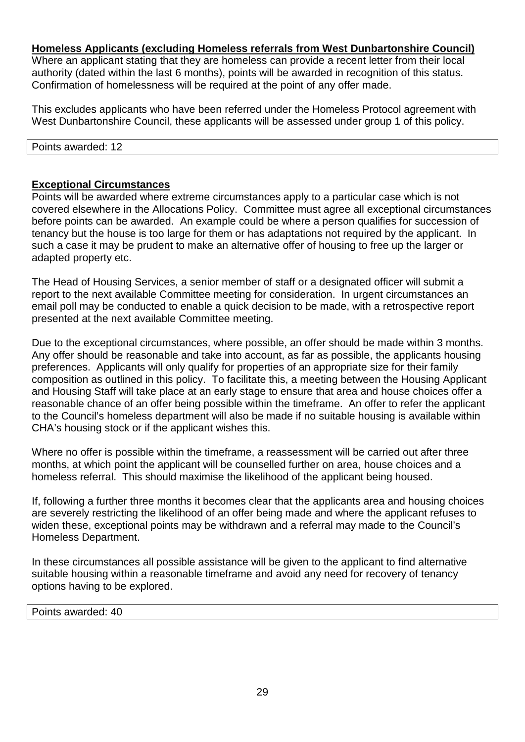### **Homeless Applicants (excluding Homeless referrals from West Dunbartonshire Council)**

Where an applicant stating that they are homeless can provide a recent letter from their local authority (dated within the last 6 months), points will be awarded in recognition of this status. Confirmation of homelessness will be required at the point of any offer made.

This excludes applicants who have been referred under the Homeless Protocol agreement with West Dunbartonshire Council, these applicants will be assessed under group 1 of this policy.

Points awarded: 12

### **Exceptional Circumstances**

Points will be awarded where extreme circumstances apply to a particular case which is not covered elsewhere in the Allocations Policy. Committee must agree all exceptional circumstances before points can be awarded. An example could be where a person qualifies for succession of tenancy but the house is too large for them or has adaptations not required by the applicant. In such a case it may be prudent to make an alternative offer of housing to free up the larger or adapted property etc.

The Head of Housing Services, a senior member of staff or a designated officer will submit a report to the next available Committee meeting for consideration. In urgent circumstances an email poll may be conducted to enable a quick decision to be made, with a retrospective report presented at the next available Committee meeting.

Due to the exceptional circumstances, where possible, an offer should be made within 3 months. Any offer should be reasonable and take into account, as far as possible, the applicants housing preferences. Applicants will only qualify for properties of an appropriate size for their family composition as outlined in this policy. To facilitate this, a meeting between the Housing Applicant and Housing Staff will take place at an early stage to ensure that area and house choices offer a reasonable chance of an offer being possible within the timeframe. An offer to refer the applicant to the Council's homeless department will also be made if no suitable housing is available within CHA's housing stock or if the applicant wishes this.

Where no offer is possible within the timeframe, a reassessment will be carried out after three months, at which point the applicant will be counselled further on area, house choices and a homeless referral. This should maximise the likelihood of the applicant being housed.

If, following a further three months it becomes clear that the applicants area and housing choices are severely restricting the likelihood of an offer being made and where the applicant refuses to widen these, exceptional points may be withdrawn and a referral may made to the Council's Homeless Department.

In these circumstances all possible assistance will be given to the applicant to find alternative suitable housing within a reasonable timeframe and avoid any need for recovery of tenancy options having to be explored.

Points awarded: 40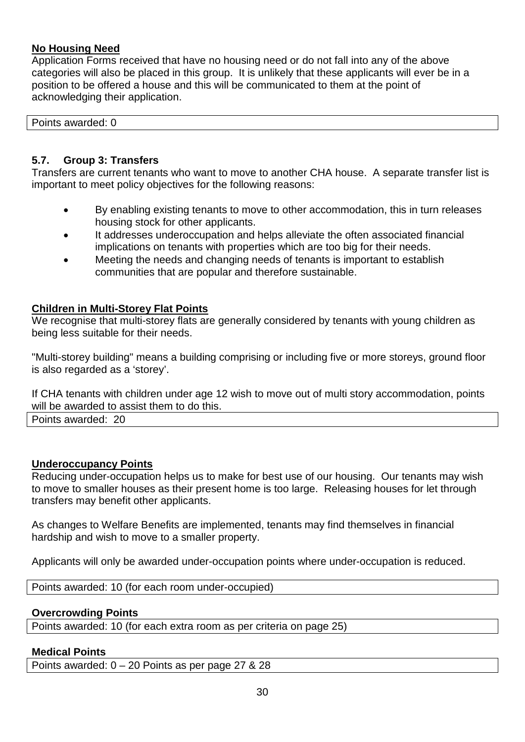### **No Housing Need**

Application Forms received that have no housing need or do not fall into any of the above categories will also be placed in this group. It is unlikely that these applicants will ever be in a position to be offered a house and this will be communicated to them at the point of acknowledging their application.

Points awarded: 0

### **5.7. Group 3: Transfers**

Transfers are current tenants who want to move to another CHA house. A separate transfer list is important to meet policy objectives for the following reasons:

- By enabling existing tenants to move to other accommodation, this in turn releases housing stock for other applicants.
- It addresses underoccupation and helps alleviate the often associated financial implications on tenants with properties which are too big for their needs.
- Meeting the needs and changing needs of tenants is important to establish communities that are popular and therefore sustainable.

### **Children in Multi-Storey Flat Points**

We recognise that multi-storey flats are generally considered by tenants with young children as being less suitable for their needs.

"Multi-storey building" means a building comprising or including five or more storeys, ground floor is also regarded as a 'storey'.

If CHA tenants with children under age 12 wish to move out of multi story accommodation, points will be awarded to assist them to do this.

Points awarded: 20

### **Underoccupancy Points**

Reducing under-occupation helps us to make for best use of our housing. Our tenants may wish to move to smaller houses as their present home is too large. Releasing houses for let through transfers may benefit other applicants.

As changes to Welfare Benefits are implemented, tenants may find themselves in financial hardship and wish to move to a smaller property.

Applicants will only be awarded under-occupation points where under-occupation is reduced.

Points awarded: 10 (for each room under-occupied)

### **Overcrowding Points**

Points awarded: 10 (for each extra room as per criteria on page 25)

### **Medical Points**

Points awarded: 0 – 20 Points as per page 27 & 28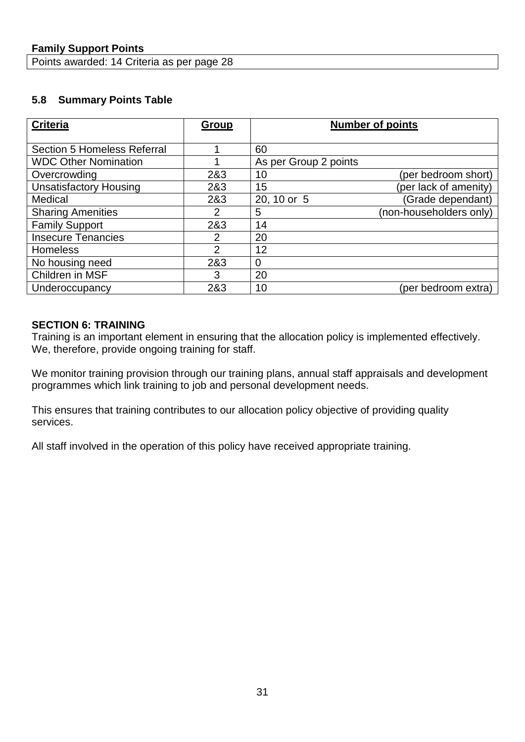Points awarded: 14 Criteria as per page 28

### **5.8 Summary Points Table**

| <b>Criteria</b>                    | <b>Group</b>   | <b>Number of points</b>          |
|------------------------------------|----------------|----------------------------------|
|                                    |                |                                  |
| <b>Section 5 Homeless Referral</b> |                | 60                               |
| <b>WDC Other Nomination</b>        |                | As per Group 2 points            |
| Overcrowding                       | 2&3            | (per bedroom short)<br>10        |
| <b>Unsatisfactory Housing</b>      | 2&3            | (per lack of amenity)<br>15      |
| Medical                            | 2&3            | (Grade dependant)<br>20, 10 or 5 |
| <b>Sharing Amenities</b>           | $\overline{2}$ | (non-householders only)<br>5     |
| <b>Family Support</b>              | 2&3            | 14                               |
| <b>Insecure Tenancies</b>          | 2              | 20                               |
| <b>Homeless</b>                    | $\overline{2}$ | 12                               |
| No housing need                    | 2&3            | 0                                |
| Children in MSF                    | 3              | 20                               |
| Underoccupancy                     | 2&3            | 10<br>(per bedroom extra)        |

### **SECTION 6: TRAINING**

Training is an important element in ensuring that the allocation policy is implemented effectively. We, therefore, provide ongoing training for staff.

We monitor training provision through our training plans, annual staff appraisals and development programmes which link training to job and personal development needs.

This ensures that training contributes to our allocation policy objective of providing quality services.

All staff involved in the operation of this policy have received appropriate training.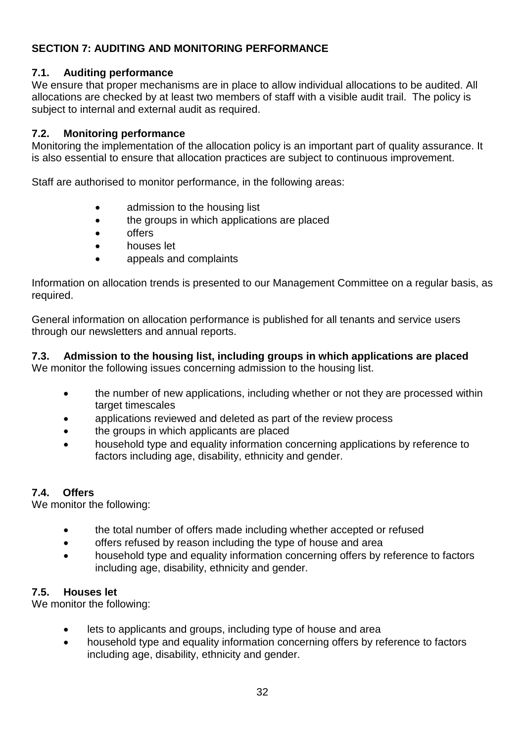### **SECTION 7: AUDITING AND MONITORING PERFORMANCE**

### **7.1. Auditing performance**

We ensure that proper mechanisms are in place to allow individual allocations to be audited. All allocations are checked by at least two members of staff with a visible audit trail. The policy is subject to internal and external audit as required.

### **7.2. Monitoring performance**

Monitoring the implementation of the allocation policy is an important part of quality assurance. It is also essential to ensure that allocation practices are subject to continuous improvement.

Staff are authorised to monitor performance, in the following areas:

- admission to the housing list
- the groups in which applications are placed
- offers
- houses let
- appeals and complaints

Information on allocation trends is presented to our Management Committee on a regular basis, as required.

General information on allocation performance is published for all tenants and service users through our newsletters and annual reports.

### **7.3. Admission to the housing list, including groups in which applications are placed**

We monitor the following issues concerning admission to the housing list.

- the number of new applications, including whether or not they are processed within target timescales
- applications reviewed and deleted as part of the review process
- the groups in which applicants are placed
- household type and equality information concerning applications by reference to factors including age, disability, ethnicity and gender.

### **7.4. Offers**

We monitor the following:

- the total number of offers made including whether accepted or refused
- offers refused by reason including the type of house and area
- household type and equality information concerning offers by reference to factors including age, disability, ethnicity and gender.

### **7.5. Houses let**

We monitor the following:

- lets to applicants and groups, including type of house and area
- household type and equality information concerning offers by reference to factors including age, disability, ethnicity and gender.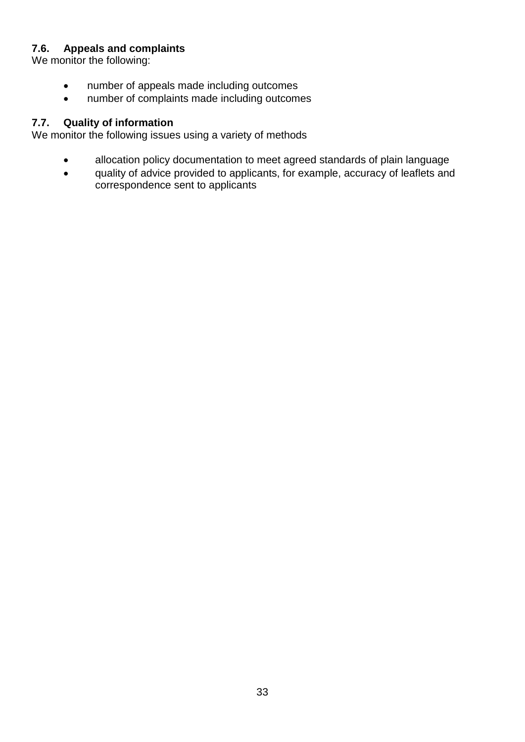### **7.6. Appeals and complaints**

We monitor the following:

- number of appeals made including outcomes
- number of complaints made including outcomes

### **7.7. Quality of information**

We monitor the following issues using a variety of methods

- allocation policy documentation to meet agreed standards of plain language
- quality of advice provided to applicants, for example, accuracy of leaflets and correspondence sent to applicants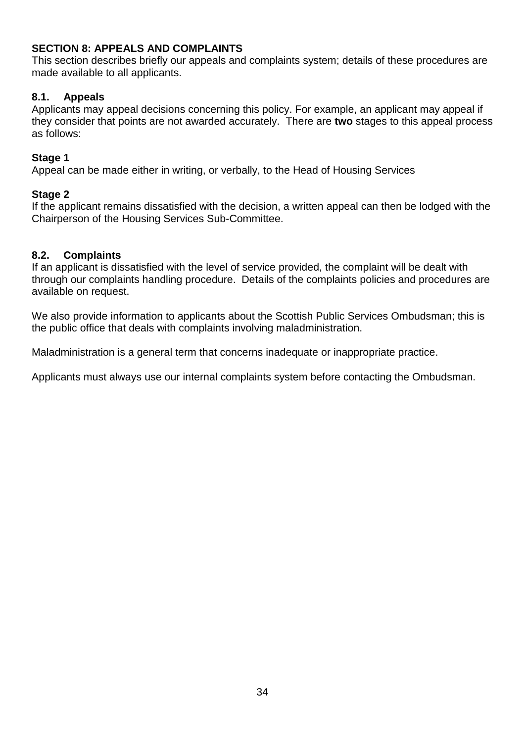### **SECTION 8: APPEALS AND COMPLAINTS**

This section describes briefly our appeals and complaints system; details of these procedures are made available to all applicants.

### **8.1. Appeals**

Applicants may appeal decisions concerning this policy. For example, an applicant may appeal if they consider that points are not awarded accurately. There are **two** stages to this appeal process as follows:

### **Stage 1**

Appeal can be made either in writing, or verbally, to the Head of Housing Services

### **Stage 2**

If the applicant remains dissatisfied with the decision, a written appeal can then be lodged with the Chairperson of the Housing Services Sub-Committee.

### **8.2. Complaints**

If an applicant is dissatisfied with the level of service provided, the complaint will be dealt with through our complaints handling procedure. Details of the complaints policies and procedures are available on request.

We also provide information to applicants about the Scottish Public Services Ombudsman; this is the public office that deals with complaints involving maladministration.

Maladministration is a general term that concerns inadequate or inappropriate practice.

Applicants must always use our internal complaints system before contacting the Ombudsman.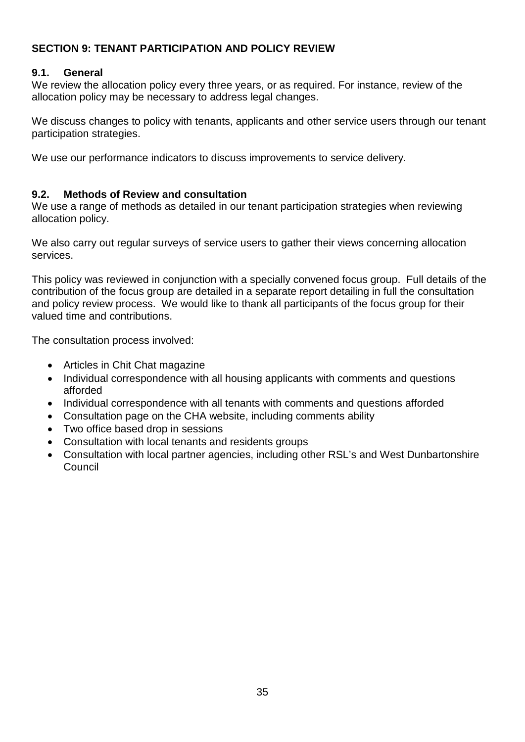### **SECTION 9: TENANT PARTICIPATION AND POLICY REVIEW**

### **9.1. General**

We review the allocation policy every three years, or as required. For instance, review of the allocation policy may be necessary to address legal changes.

We discuss changes to policy with tenants, applicants and other service users through our tenant participation strategies.

We use our performance indicators to discuss improvements to service delivery.

### **9.2. Methods of Review and consultation**

We use a range of methods as detailed in our tenant participation strategies when reviewing allocation policy.

We also carry out regular surveys of service users to gather their views concerning allocation services.

This policy was reviewed in conjunction with a specially convened focus group. Full details of the contribution of the focus group are detailed in a separate report detailing in full the consultation and policy review process. We would like to thank all participants of the focus group for their valued time and contributions.

The consultation process involved:

- Articles in Chit Chat magazine
- Individual correspondence with all housing applicants with comments and questions afforded
- Individual correspondence with all tenants with comments and questions afforded
- Consultation page on the CHA website, including comments ability
- Two office based drop in sessions
- Consultation with local tenants and residents groups
- Consultation with local partner agencies, including other RSL's and West Dunbartonshire **Council**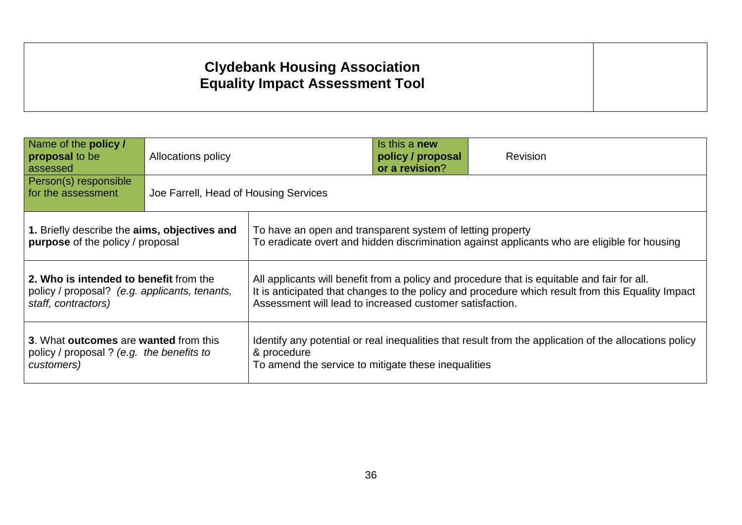# **Clydebank Housing Association Equality Impact Assessment Tool**

 $\overline{a}$ 

| Name of the policy /<br>proposal to be<br>assessed                                                                                                                                                                                                                                                                                                                             | <b>Allocations policy</b>             |                                                            | Is this a new<br>policy / proposal<br>or a revision? | Revision                                                                                     |
|--------------------------------------------------------------------------------------------------------------------------------------------------------------------------------------------------------------------------------------------------------------------------------------------------------------------------------------------------------------------------------|---------------------------------------|------------------------------------------------------------|------------------------------------------------------|----------------------------------------------------------------------------------------------|
| Person(s) responsible<br>for the assessment                                                                                                                                                                                                                                                                                                                                    | Joe Farrell, Head of Housing Services |                                                            |                                                      |                                                                                              |
| 1. Briefly describe the aims, objectives and<br>purpose of the policy / proposal                                                                                                                                                                                                                                                                                               |                                       | To have an open and transparent system of letting property |                                                      | To eradicate overt and hidden discrimination against applicants who are eligible for housing |
| 2. Who is intended to benefit from the<br>All applicants will benefit from a policy and procedure that is equitable and fair for all.<br>It is anticipated that changes to the policy and procedure which result from this Equality Impact<br>policy / proposal? (e.g. applicants, tenants,<br>Assessment will lead to increased customer satisfaction.<br>staff, contractors) |                                       |                                                            |                                                      |                                                                                              |
| 3. What outcomes are wanted from this<br>Identify any potential or real inequalities that result from the application of the allocations policy<br>policy / proposal ? (e.g. the benefits to<br>& procedure<br>To amend the service to mitigate these inequalities<br>customers)                                                                                               |                                       |                                                            |                                                      |                                                                                              |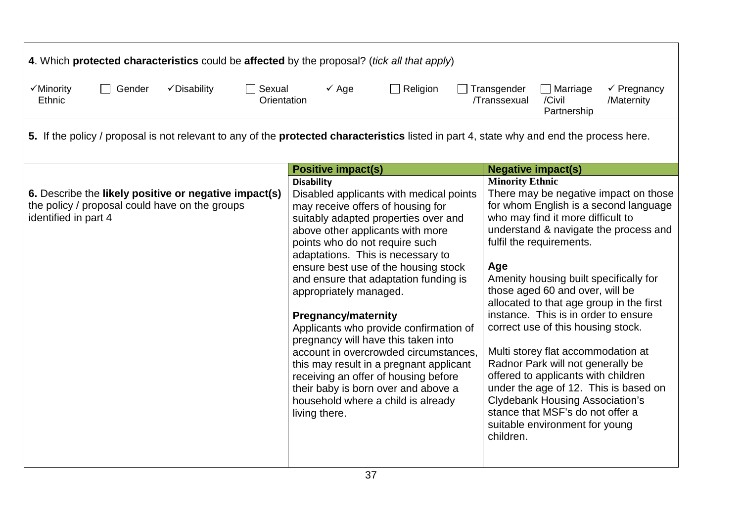| 4. Which protected characteristics could be affected by the proposal? (tick all that apply)                                                      |                                                                                                                                                                                                                                                                                                                                                                                                                                                                                                                                                                                                                                                                                                          |                                                                                                                                                                                                                                                                                                                                                                                                                                                                                                                                                                                                                                                                                                                          |
|--------------------------------------------------------------------------------------------------------------------------------------------------|----------------------------------------------------------------------------------------------------------------------------------------------------------------------------------------------------------------------------------------------------------------------------------------------------------------------------------------------------------------------------------------------------------------------------------------------------------------------------------------------------------------------------------------------------------------------------------------------------------------------------------------------------------------------------------------------------------|--------------------------------------------------------------------------------------------------------------------------------------------------------------------------------------------------------------------------------------------------------------------------------------------------------------------------------------------------------------------------------------------------------------------------------------------------------------------------------------------------------------------------------------------------------------------------------------------------------------------------------------------------------------------------------------------------------------------------|
| √Minority<br>Gender<br>√Disability<br>$\Box$ Sexual<br>$\Box$<br>Orientation<br><b>Ethnic</b>                                                    | $\checkmark$ Age<br>$\Box$ Religion                                                                                                                                                                                                                                                                                                                                                                                                                                                                                                                                                                                                                                                                      | Transgender<br>$\Box$ Marriage<br>$\checkmark$ Pregnancy<br>/Transsexual<br>/Civil<br>/Maternity<br>Partnership                                                                                                                                                                                                                                                                                                                                                                                                                                                                                                                                                                                                          |
| 5. If the policy / proposal is not relevant to any of the <b>protected characteristics</b> listed in part 4, state why and end the process here. |                                                                                                                                                                                                                                                                                                                                                                                                                                                                                                                                                                                                                                                                                                          |                                                                                                                                                                                                                                                                                                                                                                                                                                                                                                                                                                                                                                                                                                                          |
|                                                                                                                                                  | <b>Positive impact(s)</b>                                                                                                                                                                                                                                                                                                                                                                                                                                                                                                                                                                                                                                                                                | <b>Negative impact(s)</b>                                                                                                                                                                                                                                                                                                                                                                                                                                                                                                                                                                                                                                                                                                |
| 6. Describe the likely positive or negative impact(s)<br>the policy / proposal could have on the groups<br>identified in part 4                  | <b>Disability</b><br>Disabled applicants with medical points<br>may receive offers of housing for<br>suitably adapted properties over and<br>above other applicants with more<br>points who do not require such<br>adaptations. This is necessary to<br>ensure best use of the housing stock<br>and ensure that adaptation funding is<br>appropriately managed.<br><b>Pregnancy/maternity</b><br>Applicants who provide confirmation of<br>pregnancy will have this taken into<br>account in overcrowded circumstances,<br>this may result in a pregnant applicant<br>receiving an offer of housing before<br>their baby is born over and above a<br>household where a child is already<br>living there. | <b>Minority Ethnic</b><br>There may be negative impact on those<br>for whom English is a second language<br>who may find it more difficult to<br>understand & navigate the process and<br>fulfil the requirements.<br>Age<br>Amenity housing built specifically for<br>those aged 60 and over, will be<br>allocated to that age group in the first<br>instance. This is in order to ensure<br>correct use of this housing stock.<br>Multi storey flat accommodation at<br>Radnor Park will not generally be<br>offered to applicants with children<br>under the age of 12. This is based on<br><b>Clydebank Housing Association's</b><br>stance that MSF's do not offer a<br>suitable environment for young<br>children. |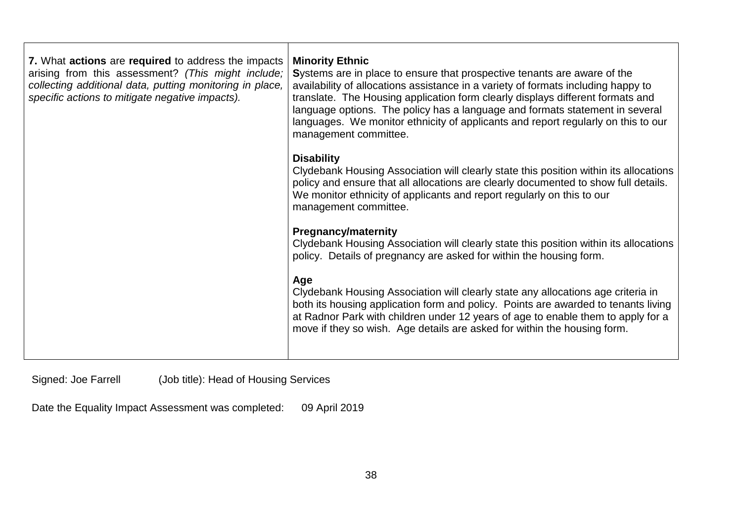| 7. What actions are required to address the impacts<br>arising from this assessment? (This might include;<br>collecting additional data, putting monitoring in place,<br>specific actions to mitigate negative impacts). | <b>Minority Ethnic</b><br>Systems are in place to ensure that prospective tenants are aware of the<br>availability of allocations assistance in a variety of formats including happy to<br>translate. The Housing application form clearly displays different formats and<br>language options. The policy has a language and formats statement in several<br>languages. We monitor ethnicity of applicants and report regularly on this to our<br>management committee. |
|--------------------------------------------------------------------------------------------------------------------------------------------------------------------------------------------------------------------------|-------------------------------------------------------------------------------------------------------------------------------------------------------------------------------------------------------------------------------------------------------------------------------------------------------------------------------------------------------------------------------------------------------------------------------------------------------------------------|
|                                                                                                                                                                                                                          | <b>Disability</b><br>Clydebank Housing Association will clearly state this position within its allocations<br>policy and ensure that all allocations are clearly documented to show full details.<br>We monitor ethnicity of applicants and report regularly on this to our<br>management committee.                                                                                                                                                                    |
|                                                                                                                                                                                                                          | <b>Pregnancy/maternity</b><br>Clydebank Housing Association will clearly state this position within its allocations<br>policy. Details of pregnancy are asked for within the housing form.                                                                                                                                                                                                                                                                              |
|                                                                                                                                                                                                                          | Age<br>Clydebank Housing Association will clearly state any allocations age criteria in<br>both its housing application form and policy. Points are awarded to tenants living<br>at Radnor Park with children under 12 years of age to enable them to apply for a<br>move if they so wish. Age details are asked for within the housing form.                                                                                                                           |

Signed: Joe Farrell (Job title): Head of Housing Services

 $\overline{a}$ 

Date the Equality Impact Assessment was completed: 09 April 2019